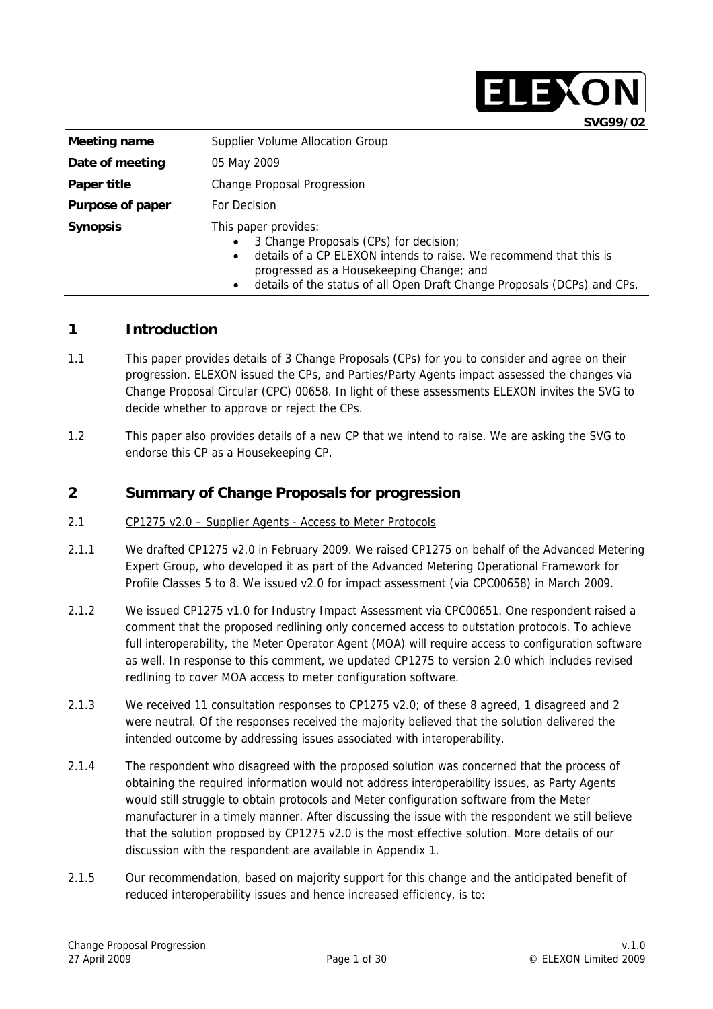|                  | SVG99/02                                                                                                                                                                                                                                                                               |
|------------------|----------------------------------------------------------------------------------------------------------------------------------------------------------------------------------------------------------------------------------------------------------------------------------------|
| Meeting name     | Supplier Volume Allocation Group                                                                                                                                                                                                                                                       |
| Date of meeting  | 05 May 2009                                                                                                                                                                                                                                                                            |
| Paper title      | Change Proposal Progression                                                                                                                                                                                                                                                            |
| Purpose of paper | For Decision                                                                                                                                                                                                                                                                           |
| <b>Synopsis</b>  | This paper provides:<br>3 Change Proposals (CPs) for decision;<br>$\bullet$<br>details of a CP ELEXON intends to raise. We recommend that this is<br>$\bullet$<br>progressed as a Housekeeping Change; and<br>details of the status of all Open Draft Change Proposals (DCPs) and CPs. |

### **1 Introduction**

- 1.1 This paper provides details of 3 Change Proposals (CPs) for you to consider and agree on their progression. ELEXON issued the CPs, and Parties/Party Agents impact assessed the changes via Change Proposal Circular (CPC) 00658. In light of these assessments ELEXON invites the SVG to decide whether to approve or reject the CPs.
- 1.2 This paper also provides details of a new CP that we intend to raise. We are asking the SVG to endorse this CP as a Housekeeping CP.

## **2 Summary of Change Proposals for progression**

- 2.1 CP1275 v2.0 Supplier Agents Access to Meter Protocols
- 2.1.1 We drafted CP1275 v2.0 in February 2009. We raised CP1275 on behalf of the Advanced Metering Expert Group, who developed it as part of the Advanced Metering Operational Framework for Profile Classes 5 to 8. We issued v2.0 for impact assessment (via CPC00658) in March 2009.
- 2.1.2 We issued CP1275 v1.0 for Industry Impact Assessment via CPC00651. One respondent raised a comment that the proposed redlining only concerned access to outstation protocols. To achieve full interoperability, the Meter Operator Agent (MOA) will require access to configuration software as well. In response to this comment, we updated CP1275 to version 2.0 which includes revised redlining to cover MOA access to meter configuration software.
- 2.1.3 We received 11 consultation responses to CP1275 v2.0; of these 8 agreed, 1 disagreed and 2 were neutral. Of the responses received the majority believed that the solution delivered the intended outcome by addressing issues associated with interoperability.
- 2.1.4 The respondent who disagreed with the proposed solution was concerned that the process of obtaining the required information would not address interoperability issues, as Party Agents would still struggle to obtain protocols and Meter configuration software from the Meter manufacturer in a timely manner. After discussing the issue with the respondent we still believe that the solution proposed by CP1275 v2.0 is the most effective solution. More details of our discussion with the respondent are available in Appendix 1.
- 2.1.5 Our recommendation, based on majority support for this change and the anticipated benefit of reduced interoperability issues and hence increased efficiency, is to:

ELEXON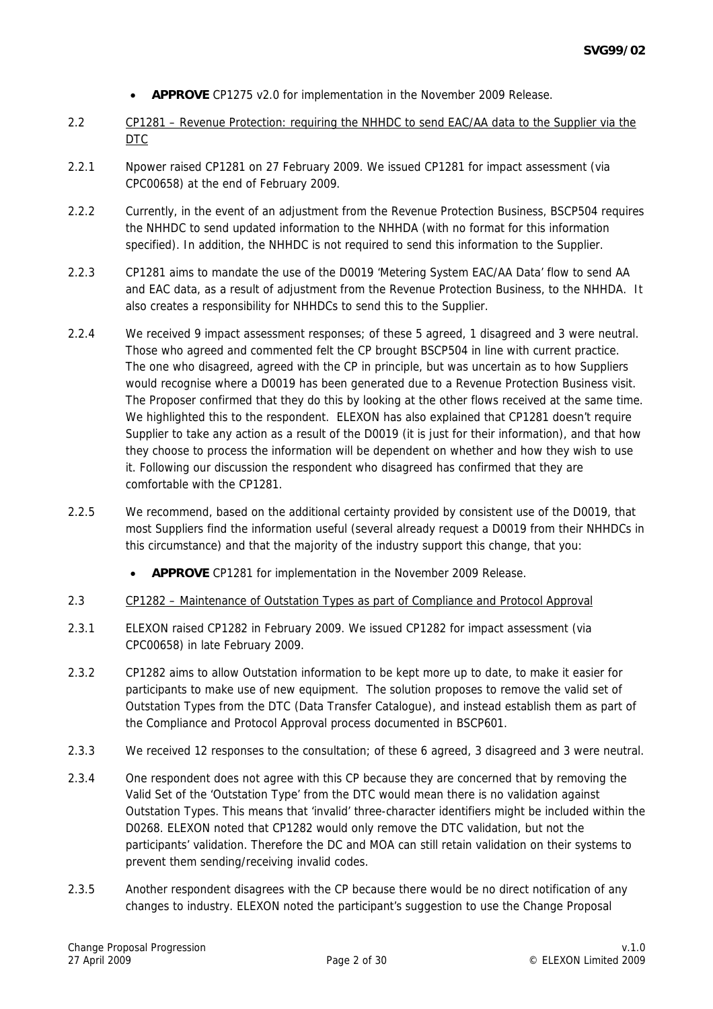- **APPROVE** CP1275 v2.0 for implementation in the November 2009 Release.
- 2.2 CP1281 Revenue Protection: requiring the NHHDC to send EAC/AA data to the Supplier via the DTC
- 2.2.1 Npower raised CP1281 on 27 February 2009. We issued CP1281 for impact assessment (via CPC00658) at the end of February 2009.
- 2.2.2 Currently, in the event of an adjustment from the Revenue Protection Business, BSCP504 requires the NHHDC to send updated information to the NHHDA (with no format for this information specified). In addition, the NHHDC is not required to send this information to the Supplier.
- 2.2.3 CP1281 aims to mandate the use of the D0019 'Metering System EAC/AA Data' flow to send AA and EAC data, as a result of adjustment from the Revenue Protection Business, to the NHHDA. It also creates a responsibility for NHHDCs to send this to the Supplier.
- 2.2.4 We received 9 impact assessment responses; of these 5 agreed, 1 disagreed and 3 were neutral. Those who agreed and commented felt the CP brought BSCP504 in line with current practice. The one who disagreed, agreed with the CP in principle, but was uncertain as to how Suppliers would recognise where a D0019 has been generated due to a Revenue Protection Business visit. The Proposer confirmed that they do this by looking at the other flows received at the same time. We highlighted this to the respondent. ELEXON has also explained that CP1281 doesn't require Supplier to take any action as a result of the D0019 (it is just for their information), and that how they choose to process the information will be dependent on whether and how they wish to use it. Following our discussion the respondent who disagreed has confirmed that they are comfortable with the CP1281.
- 2.2.5 We recommend, based on the additional certainty provided by consistent use of the D0019, that most Suppliers find the information useful (several already request a D0019 from their NHHDCs in this circumstance) and that the majority of the industry support this change, that you:
	- **APPROVE** CP1281 for implementation in the November 2009 Release.
- 2.3 CP1282 Maintenance of Outstation Types as part of Compliance and Protocol Approval
- 2.3.1 ELEXON raised CP1282 in February 2009. We issued CP1282 for impact assessment (via CPC00658) in late February 2009.
- 2.3.2 CP1282 aims to allow Outstation information to be kept more up to date, to make it easier for participants to make use of new equipment. The solution proposes to remove the valid set of Outstation Types from the DTC (Data Transfer Catalogue), and instead establish them as part of the Compliance and Protocol Approval process documented in BSCP601.
- 2.3.3 We received 12 responses to the consultation; of these 6 agreed, 3 disagreed and 3 were neutral.
- 2.3.4 One respondent does not agree with this CP because they are concerned that by removing the Valid Set of the 'Outstation Type' from the DTC would mean there is no validation against Outstation Types. This means that 'invalid' three-character identifiers might be included within the D0268. ELEXON noted that CP1282 would only remove the DTC validation, but not the participants' validation. Therefore the DC and MOA can still retain validation on their systems to prevent them sending/receiving invalid codes.
- 2.3.5 Another respondent disagrees with the CP because there would be no direct notification of any changes to industry. ELEXON noted the participant's suggestion to use the Change Proposal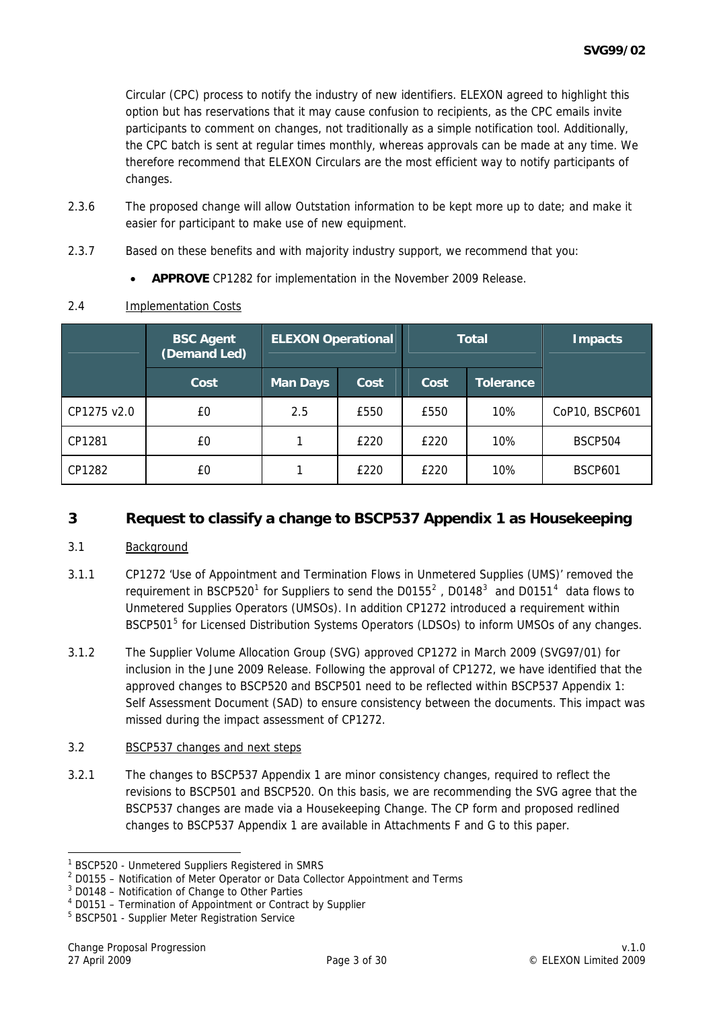Circular (CPC) process to notify the industry of new identifiers. ELEXON agreed to highlight this option but has reservations that it may cause confusion to recipients, as the CPC emails invite participants to comment on changes, not traditionally as a simple notification tool. Additionally, the CPC batch is sent at regular times monthly, whereas approvals can be made at any time. We therefore recommend that ELEXON Circulars are the most efficient way to notify participants of changes.

- 2.3.6 The proposed change will allow Outstation information to be kept more up to date; and make it easier for participant to make use of new equipment.
- 2.3.7 Based on these benefits and with majority industry support, we recommend that you:
	- **APPROVE** CP1282 for implementation in the November 2009 Release.

|             | <b>BSC Agent</b><br>(Demand Led) | <b>ELEXON Operational</b> | <b>Total</b> |      | <b>Impacts</b>   |                |
|-------------|----------------------------------|---------------------------|--------------|------|------------------|----------------|
|             | Cost                             | <b>Man Days</b>           | Cost         | Cost | <b>Tolerance</b> |                |
| CP1275 v2.0 | £0                               | 2.5                       | £550         | £550 | 10%              | CoP10, BSCP601 |
| CP1281      | £0                               |                           | £220         | £220 | 10%              | <b>BSCP504</b> |
| CP1282      | £0                               |                           | £220         | £220 | 10%              | <b>BSCP601</b> |

#### 2.4 Implementation Costs

# **3 Request to classify a change to BSCP537 Appendix 1 as Housekeeping**

### 3.1 Background

- 3.1.1 CP1272 'Use of Appointment and Termination Flows in Unmetered Supplies (UMS)' removed the requirement in BSCP520<sup>[1](#page-2-0)</sup> for Suppliers to send the D0155<sup>[2](#page-2-1)</sup>, D0148<sup>[3](#page-2-2)</sup> and D0151<sup>[4](#page-2-3)</sup> data flows to Unmetered Supplies Operators (UMSOs). In addition CP1272 introduced a requirement within BSCP[5](#page-2-4)01<sup>5</sup> for Licensed Distribution Systems Operators (LDSOs) to inform UMSOs of any changes.
- 3.1.2 The Supplier Volume Allocation Group (SVG) approved CP1272 in March 2009 (SVG97/01) for inclusion in the June 2009 Release. Following the approval of CP1272, we have identified that the approved changes to BSCP520 and BSCP501 need to be reflected within BSCP537 Appendix 1: Self Assessment Document (SAD) to ensure consistency between the documents. This impact was missed during the impact assessment of CP1272.

### 3.2 BSCP537 changes and next steps

3.2.1 The changes to BSCP537 Appendix 1 are minor consistency changes, required to reflect the revisions to BSCP501 and BSCP520. On this basis, we are recommending the SVG agree that the BSCP537 changes are made via a Housekeeping Change. The CP form and proposed redlined changes to BSCP537 Appendix 1 are available in Attachments F and G to this paper.

<span id="page-2-0"></span> 1 BSCP520 - Unmetered Suppliers Registered in SMRS

<span id="page-2-1"></span> $2$  D0155 – Notification of Meter Operator or Data Collector Appointment and Terms

<span id="page-2-2"></span><sup>&</sup>lt;sup>3</sup> D0148 - Notification of Change to Other Parties

<span id="page-2-3"></span><sup>4</sup> D0151 – Termination of Appointment or Contract by Supplier

<span id="page-2-4"></span><sup>&</sup>lt;sup>5</sup> BSCP501 - Supplier Meter Registration Service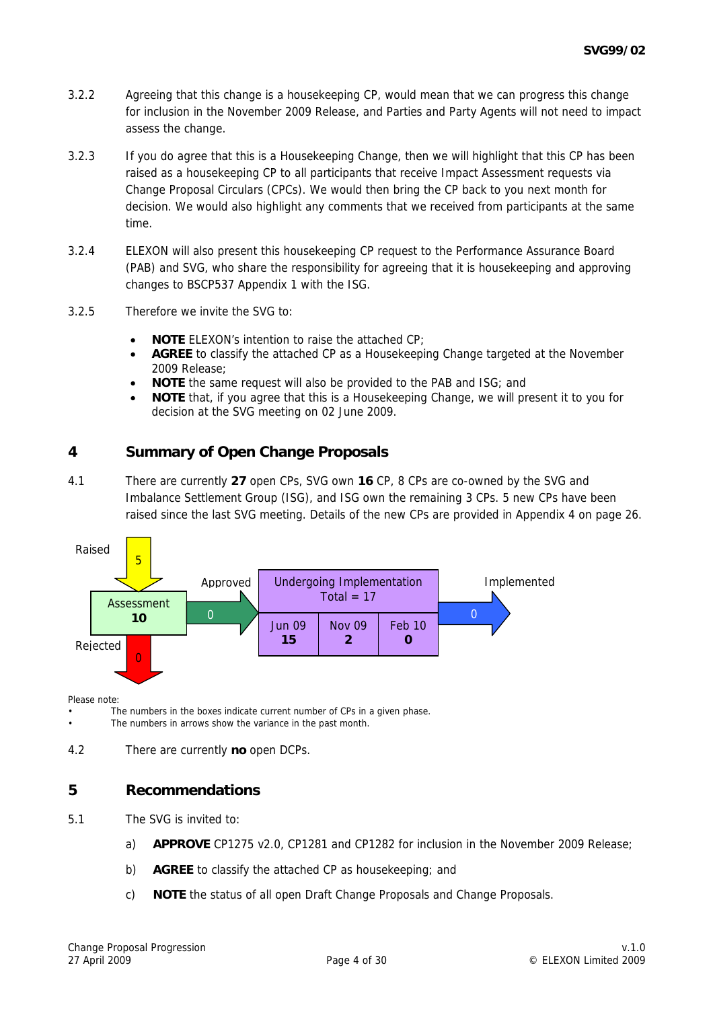- 3.2.2 Agreeing that this change is a housekeeping CP, would mean that we can progress this change for inclusion in the November 2009 Release, and Parties and Party Agents will not need to impact assess the change.
- 3.2.3 If you do agree that this is a Housekeeping Change, then we will highlight that this CP has been raised as a housekeeping CP to all participants that receive Impact Assessment requests via Change Proposal Circulars (CPCs). We would then bring the CP back to you next month for decision. We would also highlight any comments that we received from participants at the same time.
- 3.2.4 ELEXON will also present this housekeeping CP request to the Performance Assurance Board (PAB) and SVG, who share the responsibility for agreeing that it is housekeeping and approving changes to BSCP537 Appendix 1 with the ISG.
- 3.2.5 Therefore we invite the SVG to:
	- **NOTE** ELEXON's intention to raise the attached CP:
	- **AGREE** to classify the attached CP as a Housekeeping Change targeted at the November 2009 Release;
	- **NOTE** the same request will also be provided to the PAB and ISG; and
	- **NOTE** that, if you agree that this is a Housekeeping Change, we will present it to you for decision at the SVG meeting on 02 June 2009.

## **4 Summary of Open Change Proposals**

4.1 There are currently **27** open CPs, SVG own **16** CP, 8 CPs are co-owned by the SVG and Imbalance Settlement Group (ISG), and ISG own the remaining 3 CPs. 5 new CPs have been raised since the last SVG meeting. Details of the new CPs are provided in Appendix 4 on page 26.



Please note:

The numbers in the boxes indicate current number of CPs in a given phase.

The numbers in arrows show the variance in the past month.

4.2 There are currently **no** open DCPs.

## **5 Recommendations**

- 5.1 The SVG is invited to:
	- a) **APPROVE** CP1275 v2.0, CP1281 and CP1282 for inclusion in the November 2009 Release;
	- b) **AGREE** to classify the attached CP as housekeeping; and
	- c) **NOTE** the status of all open Draft Change Proposals and Change Proposals.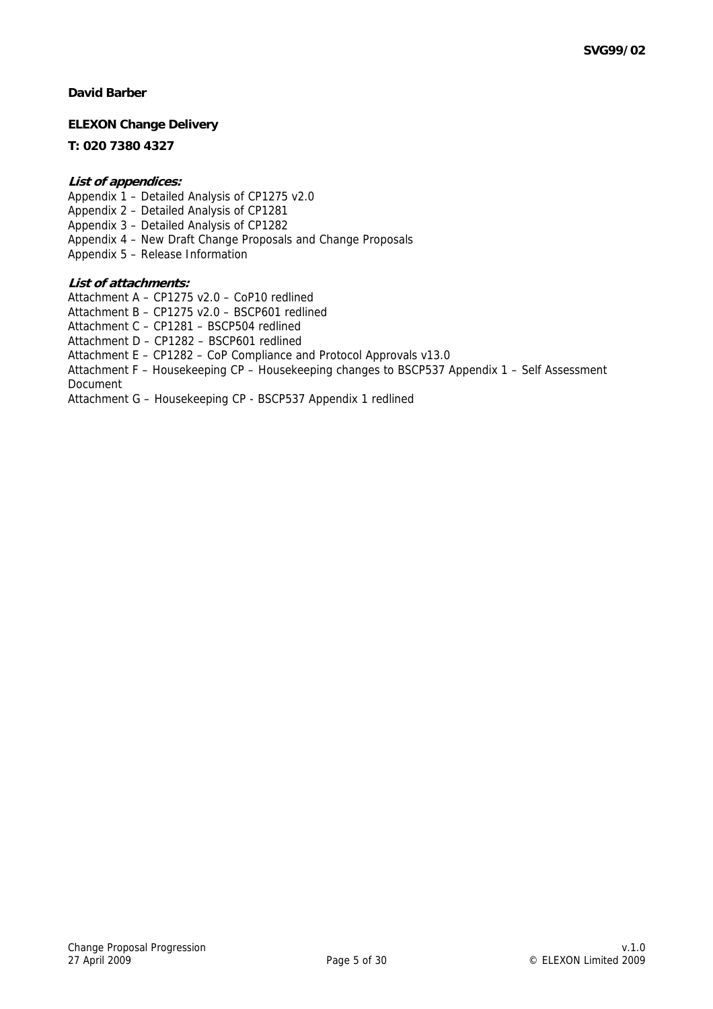#### **David Barber**

#### **ELEXON Change Delivery**

#### **T: 020 7380 4327**

#### **List of appendices:**

Appendix 1 – Detailed Analysis of CP1275 v2.0 Appendix 2 – Detailed Analysis of CP1281 Appendix 3 – Detailed Analysis of CP1282 Appendix 4 – New Draft Change Proposals and Change Proposals Appendix 5 – Release Information

#### **List of attachments:**

Attachment A – CP1275 v2.0 – CoP10 redlined

Attachment B – CP1275 v2.0 – BSCP601 redlined

Attachment C – CP1281 – BSCP504 redlined

Attachment D – CP1282 – BSCP601 redlined

Attachment E – CP1282 – CoP Compliance and Protocol Approvals v13.0

Attachment F – Housekeeping CP – Housekeeping changes to BSCP537 Appendix 1 – Self Assessment Document

Attachment G – Housekeeping CP - BSCP537 Appendix 1 redlined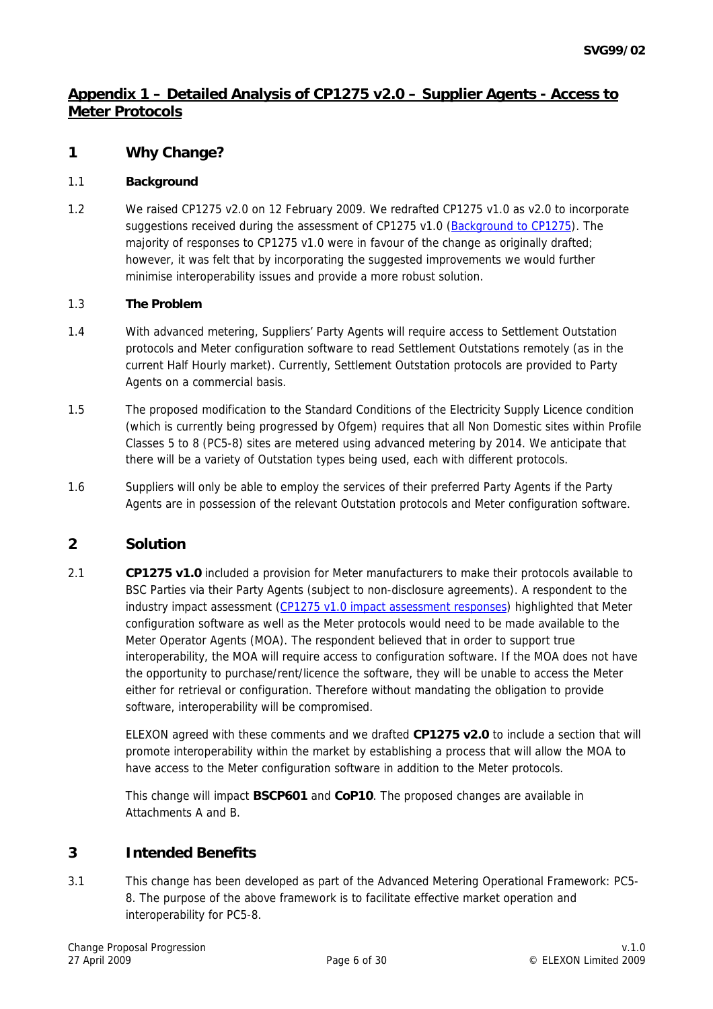# **Appendix 1 – Detailed Analysis of CP1275 v2.0 – Supplier Agents - Access to Meter Protocols**

### **1 Why Change?**

#### 1.1 **Background**

1.2 We raised CP1275 v2.0 on 12 February 2009. We redrafted CP1275 v1.0 as v2.0 to incorporate suggestions received during the assessment of CP1275 v1.0 [\(Background to CP1275\)](http://www.elexon.co.uk/changeimplementation/ChangeProcess/proposals/proposal_details.aspx?proposalId=798). The majority of responses to CP1275 v1.0 were in favour of the change as originally drafted; however, it was felt that by incorporating the suggested improvements we would further minimise interoperability issues and provide a more robust solution.

#### 1.3 **The Problem**

- 1.4 With advanced metering, Suppliers' Party Agents will require access to Settlement Outstation protocols and Meter configuration software to read Settlement Outstations remotely (as in the current Half Hourly market). Currently, Settlement Outstation protocols are provided to Party Agents on a commercial basis.
- 1.5 The proposed modification to the Standard Conditions of the Electricity Supply Licence condition (which is currently being progressed by Ofgem) requires that all Non Domestic sites within Profile Classes 5 to 8 (PC5-8) sites are metered using advanced metering by 2014. We anticipate that there will be a variety of Outstation types being used, each with different protocols.
- 1.6 Suppliers will only be able to employ the services of their preferred Party Agents if the Party Agents are in possession of the relevant Outstation protocols and Meter configuration software.

## **2 Solution**

2.1 **CP1275 v1.0** included a provision for Meter manufacturers to make their protocols available to BSC Parties via their Party Agents (subject to non-disclosure agreements). A respondent to the industry impact assessment ([CP1275 v1.0 impact assessment responses\)](http://www.elexon.co.uk/documents/Change_and_Implementation/Change_Proposals_-_responses/CPC00651_responses.pdf) highlighted that Meter configuration software as well as the Meter protocols would need to be made available to the Meter Operator Agents (MOA). The respondent believed that in order to support true interoperability, the MOA will require access to configuration software. If the MOA does not have the opportunity to purchase/rent/licence the software, they will be unable to access the Meter either for retrieval or configuration. Therefore without mandating the obligation to provide software, interoperability will be compromised.

> ELEXON agreed with these comments and we drafted **CP1275 v2.0** to include a section that will promote interoperability within the market by establishing a process that will allow the MOA to have access to the Meter configuration software in addition to the Meter protocols.

This change will impact **BSCP601** and **CoP10**. The proposed changes are available in Attachments A and B.

### **3 Intended Benefits**

3.1 This change has been developed as part of the Advanced Metering Operational Framework: PC5- 8. The purpose of the above framework is to facilitate effective market operation and interoperability for PC5-8.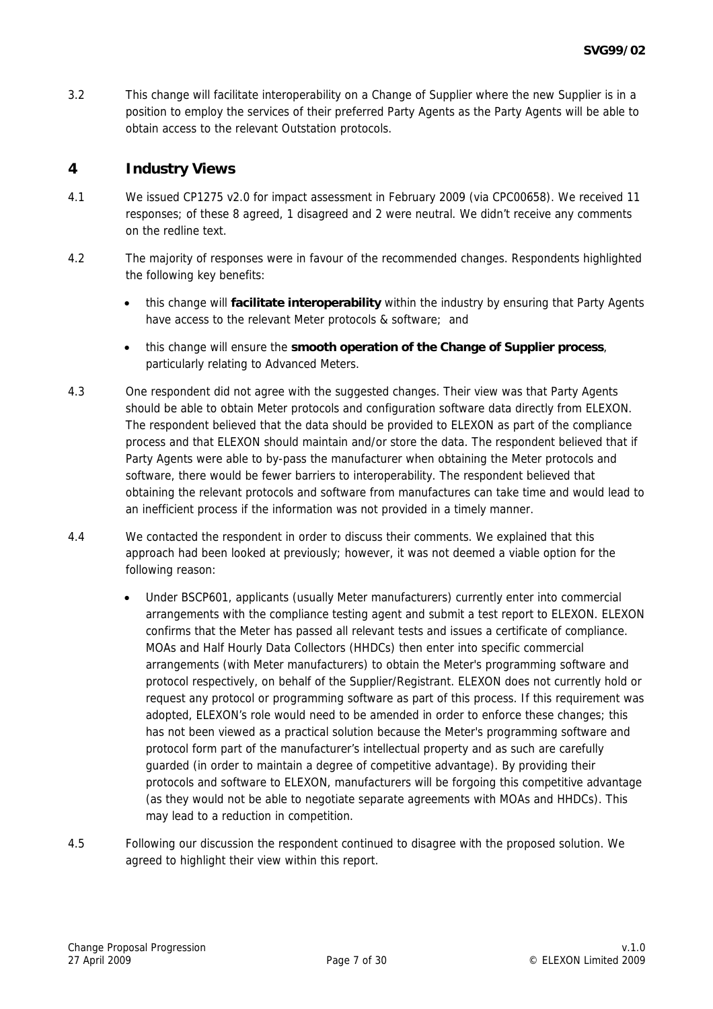3.2 This change will facilitate interoperability on a Change of Supplier where the new Supplier is in a position to employ the services of their preferred Party Agents as the Party Agents will be able to obtain access to the relevant Outstation protocols.

### **4 Industry Views**

- 4.1 We issued CP1275 v2.0 for impact assessment in February 2009 (via CPC00658). We received 11 responses; of these 8 agreed, 1 disagreed and 2 were neutral. We didn't receive any comments on the redline text.
- 4.2 The majority of responses were in favour of the recommended changes. Respondents highlighted the following key benefits:
	- this change will **facilitate interoperability** within the industry by ensuring that Party Agents have access to the relevant Meter protocols & software; and
	- this change will ensure the **smooth operation of the Change of Supplier process**, particularly relating to Advanced Meters.
- 4.3 One respondent did not agree with the suggested changes. Their view was that Party Agents should be able to obtain Meter protocols and configuration software data directly from ELEXON. The respondent believed that the data should be provided to ELEXON as part of the compliance process and that ELEXON should maintain and/or store the data. The respondent believed that if Party Agents were able to by-pass the manufacturer when obtaining the Meter protocols and software, there would be fewer barriers to interoperability. The respondent believed that obtaining the relevant protocols and software from manufactures can take time and would lead to an inefficient process if the information was not provided in a timely manner.
- 4.4 We contacted the respondent in order to discuss their comments. We explained that this approach had been looked at previously; however, it was not deemed a viable option for the following reason:
	- Under BSCP601, applicants (usually Meter manufacturers) currently enter into commercial arrangements with the compliance testing agent and submit a test report to ELEXON. ELEXON confirms that the Meter has passed all relevant tests and issues a certificate of compliance. MOAs and Half Hourly Data Collectors (HHDCs) then enter into specific commercial arrangements (with Meter manufacturers) to obtain the Meter's programming software and protocol respectively, on behalf of the Supplier/Registrant. ELEXON does not currently hold or request any protocol or programming software as part of this process. If this requirement was adopted, ELEXON's role would need to be amended in order to enforce these changes; this has not been viewed as a practical solution because the Meter's programming software and protocol form part of the manufacturer's intellectual property and as such are carefully guarded (in order to maintain a degree of competitive advantage). By providing their protocols and software to ELEXON, manufacturers will be forgoing this competitive advantage (as they would not be able to negotiate separate agreements with MOAs and HHDCs). This may lead to a reduction in competition.
- 4.5 Following our discussion the respondent continued to disagree with the proposed solution. We agreed to highlight their view within this report.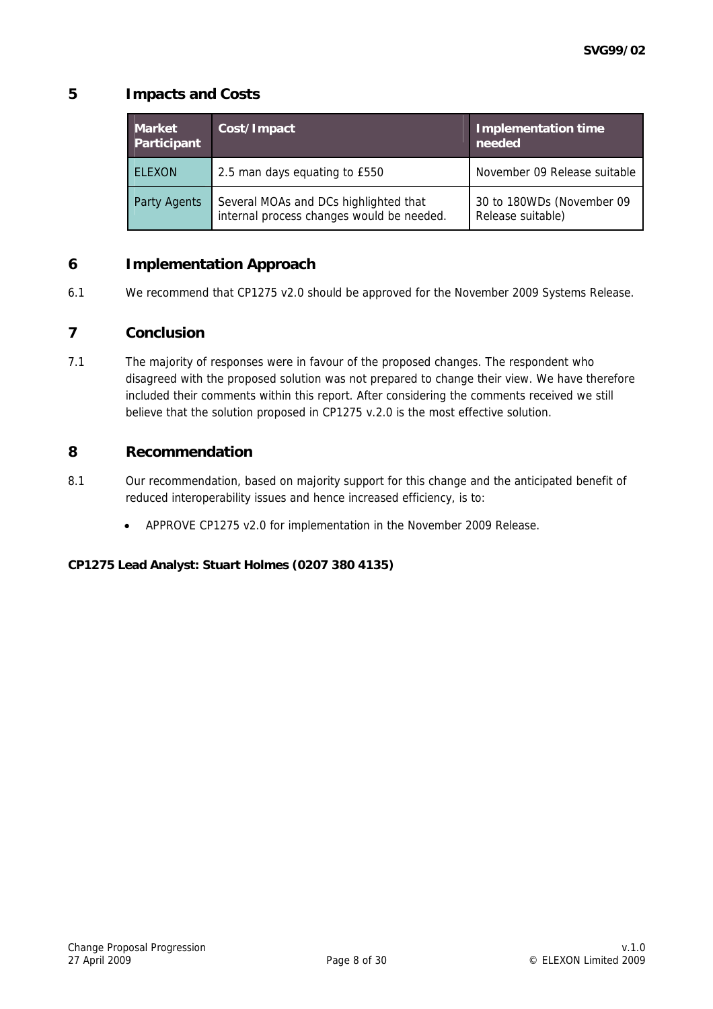# **5 Impacts and Costs**

| <b>Market</b><br>Participant | Cost/Impact                                                                        | <b>Implementation time</b><br>needed           |
|------------------------------|------------------------------------------------------------------------------------|------------------------------------------------|
| <b>ELEXON</b>                | 2.5 man days equating to £550                                                      | November 09 Release suitable                   |
| Party Agents                 | Several MOAs and DCs highlighted that<br>internal process changes would be needed. | 30 to 180WDs (November 09<br>Release suitable) |

## **6 Implementation Approach**

6.1 We recommend that CP1275 v2.0 should be approved for the November 2009 Systems Release.

## **7 Conclusion**

7.1 The majority of responses were in favour of the proposed changes. The respondent who disagreed with the proposed solution was not prepared to change their view. We have therefore included their comments within this report. After considering the comments received we still believe that the solution proposed in CP1275 v.2.0 is the most effective solution.

## **8 Recommendation**

- 8.1 Our recommendation, based on majority support for this change and the anticipated benefit of reduced interoperability issues and hence increased efficiency, is to:
	- APPROVE CP1275 v2.0 for implementation in the November 2009 Release.

### **CP1275 Lead Analyst: Stuart Holmes (0207 380 4135)**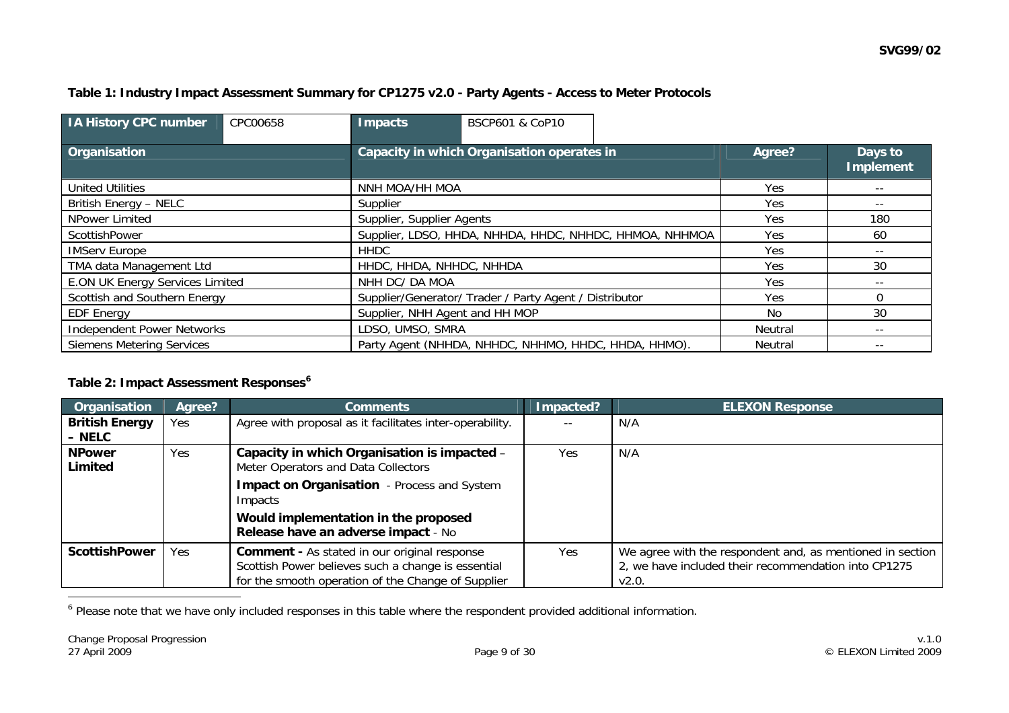### **Table 1: Industry Impact Assessment Summary for CP1275 v2.0 - Party Agents - Access to Meter Protocols**

| <b>IA History CPC number</b>           | CPC00658 | Impacts                                                 | <b>BSCP601 &amp; CoP10</b> |            |          |                             |     |     |    |
|----------------------------------------|----------|---------------------------------------------------------|----------------------------|------------|----------|-----------------------------|-----|-----|----|
| Organisation                           |          | Capacity in which Organisation operates in              |                            |            | Agree?   | Days to<br><b>Implement</b> |     |     |    |
| <b>United Utilities</b>                |          | NNH MOA/HH MOA                                          |                            |            | Yes      | $- -$                       |     |     |    |
| British Energy - NELC                  |          | Supplier                                                |                            | Yes        | $- -$    |                             |     |     |    |
| NPower Limited                         |          | Supplier, Supplier Agents                               |                            |            |          | <b>Yes</b>                  | 180 |     |    |
| ScottishPower                          |          | Supplier, LDSO, HHDA, NHHDA, HHDC, NHHDC, HHMOA, NHHMOA |                            | Yes        | 60       |                             |     |     |    |
| <b>IMServ Europe</b>                   |          | <b>HHDC</b>                                             |                            | Yes        |          |                             |     |     |    |
| TMA data Management Ltd                |          | HHDC, HHDA, NHHDC, NHHDA                                |                            |            | Yes      | 30                          |     |     |    |
| <b>E.ON UK Energy Services Limited</b> |          | NHH DC/ DA MOA                                          |                            | Yes        | $- -$    |                             |     |     |    |
| Scottish and Southern Energy           |          | Supplier/Generator/ Trader / Party Agent / Distributor  |                            | <b>Yes</b> | $\Omega$ |                             |     |     |    |
| <b>EDF Energy</b>                      |          | Supplier, NHH Agent and HH MOP                          |                            |            |          |                             |     | No. | 30 |
| <b>Independent Power Networks</b>      |          | LDSO, UMSO, SMRA                                        |                            | Neutral    | $- -$    |                             |     |     |    |
| <b>Siemens Metering Services</b>       |          | Party Agent (NHHDA, NHHDC, NHHMO, HHDC, HHDA, HHMO).    |                            | Neutral    | $- -$    |                             |     |     |    |

#### **Table 2: Impact Assessment Responses[6](#page-8-0)**

| Organisation          | Agree? | <b>Comments</b>                                          | Impacted? | <b>ELEXON Response</b>                                    |
|-----------------------|--------|----------------------------------------------------------|-----------|-----------------------------------------------------------|
| <b>British Energy</b> | Yes    | Agree with proposal as it facilitates inter-operability. |           | N/A                                                       |
| – NELC                |        |                                                          |           |                                                           |
| <b>NPower</b>         | Yes    | Capacity in which Organisation is impacted -             | Yes       | N/A                                                       |
| Limited               |        | Meter Operators and Data Collectors                      |           |                                                           |
|                       |        | <b>Impact on Organisation</b> - Process and System       |           |                                                           |
|                       |        | Impacts                                                  |           |                                                           |
|                       |        | Would implementation in the proposed                     |           |                                                           |
|                       |        | Release have an adverse impact - No                      |           |                                                           |
| <b>ScottishPower</b>  | Yes    | <b>Comment - As stated in our original response</b>      | Yes       | We agree with the respondent and, as mentioned in section |
|                       |        | Scottish Power believes such a change is essential       |           | 2, we have included their recommendation into CP1275      |
|                       |        | for the smooth operation of the Change of Supplier       |           | V2.0.                                                     |

<span id="page-8-0"></span><sup>6</sup> Please note that we have only included responses in this table where the respondent provided additional information.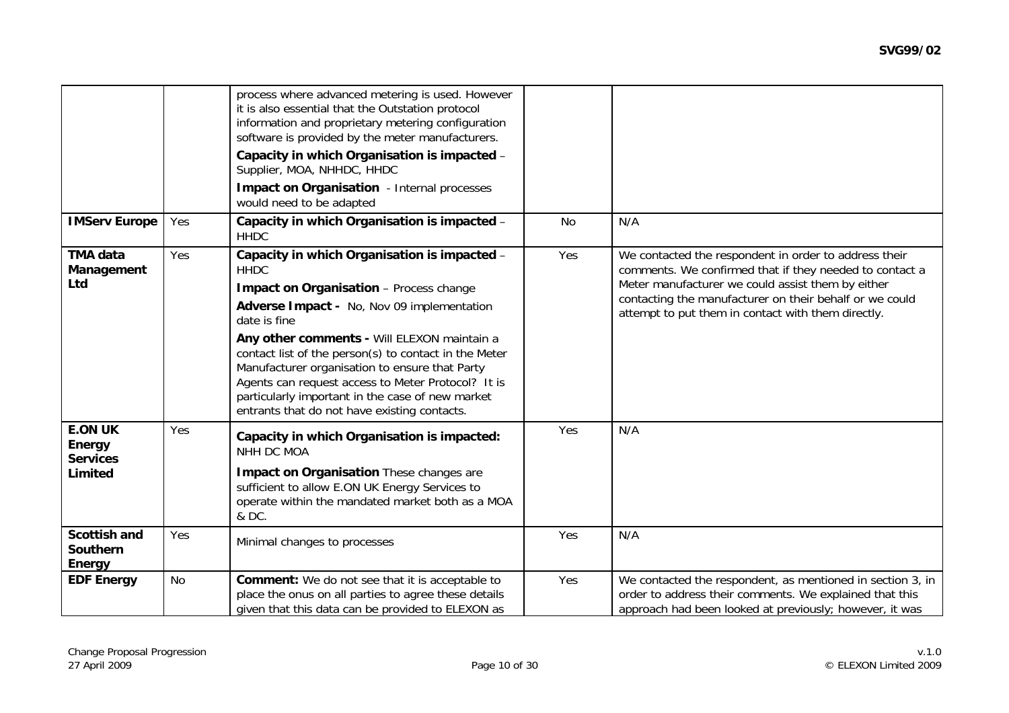|                                                        |     | process where advanced metering is used. However<br>it is also essential that the Outstation protocol<br>information and proprietary metering configuration<br>software is provided by the meter manufacturers.<br>Capacity in which Organisation is impacted -<br>Supplier, MOA, NHHDC, HHDC<br><b>Impact on Organisation</b> - Internal processes<br>would need to be adapted                                                                                                          |           |                                                                                                                                                                                                                                                                                        |
|--------------------------------------------------------|-----|------------------------------------------------------------------------------------------------------------------------------------------------------------------------------------------------------------------------------------------------------------------------------------------------------------------------------------------------------------------------------------------------------------------------------------------------------------------------------------------|-----------|----------------------------------------------------------------------------------------------------------------------------------------------------------------------------------------------------------------------------------------------------------------------------------------|
| <b>IMServ Europe</b>                                   | Yes | Capacity in which Organisation is impacted -<br><b>HHDC</b>                                                                                                                                                                                                                                                                                                                                                                                                                              | <b>No</b> | N/A                                                                                                                                                                                                                                                                                    |
| <b>TMA data</b><br>Management<br>Ltd                   | Yes | Capacity in which Organisation is impacted -<br><b>HHDC</b><br>Impact on Organisation - Process change<br>Adverse Impact - No, Nov 09 implementation<br>date is fine<br>Any other comments - Will ELEXON maintain a<br>contact list of the person(s) to contact in the Meter<br>Manufacturer organisation to ensure that Party<br>Agents can request access to Meter Protocol? It is<br>particularly important in the case of new market<br>entrants that do not have existing contacts. | Yes       | We contacted the respondent in order to address their<br>comments. We confirmed that if they needed to contact a<br>Meter manufacturer we could assist them by either<br>contacting the manufacturer on their behalf or we could<br>attempt to put them in contact with them directly. |
| <b>E.ON UK</b><br>Energy<br><b>Services</b><br>Limited | Yes | Capacity in which Organisation is impacted:<br>NHH DC MOA<br>Impact on Organisation These changes are<br>sufficient to allow E.ON UK Energy Services to<br>operate within the mandated market both as a MOA<br>& DC.                                                                                                                                                                                                                                                                     | Yes       | N/A                                                                                                                                                                                                                                                                                    |
| <b>Scottish and</b><br><b>Southern</b><br>Energy       | Yes | Minimal changes to processes                                                                                                                                                                                                                                                                                                                                                                                                                                                             | Yes       | N/A                                                                                                                                                                                                                                                                                    |
| <b>EDF Energy</b>                                      | No  | <b>Comment:</b> We do not see that it is acceptable to<br>place the onus on all parties to agree these details<br>given that this data can be provided to ELEXON as                                                                                                                                                                                                                                                                                                                      | Yes       | We contacted the respondent, as mentioned in section 3, in<br>order to address their comments. We explained that this<br>approach had been looked at previously; however, it was                                                                                                       |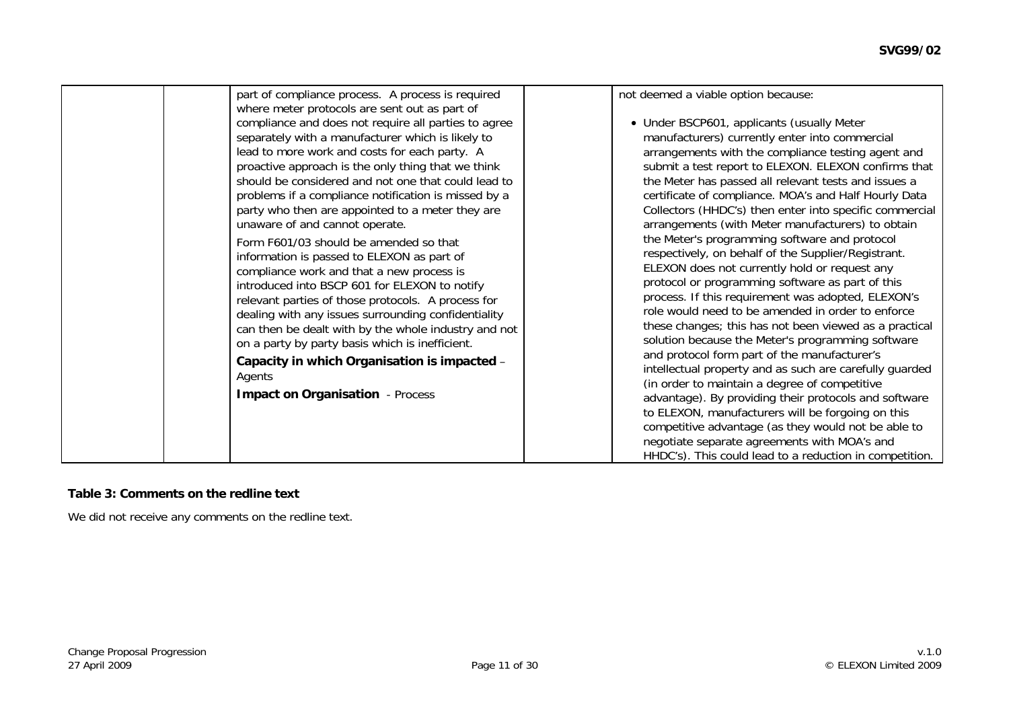| part of compliance process. A process is required<br>where meter protocols are sent out as part of<br>compliance and does not require all parties to agree<br>separately with a manufacturer which is likely to<br>lead to more work and costs for each party. A<br>proactive approach is the only thing that we think<br>should be considered and not one that could lead to<br>problems if a compliance notification is missed by a<br>party who then are appointed to a meter they are<br>unaware of and cannot operate.<br>Form F601/03 should be amended so that<br>information is passed to ELEXON as part of<br>compliance work and that a new process is<br>introduced into BSCP 601 for ELEXON to notify<br>relevant parties of those protocols. A process for<br>dealing with any issues surrounding confidentiality<br>can then be dealt with by the whole industry and not<br>on a party by party basis which is inefficient.<br>Capacity in which Organisation is impacted -<br>Agents<br><b>Impact on Organisation</b> - Process | not deemed a viable option because:<br>• Under BSCP601, applicants (usually Meter<br>manufacturers) currently enter into commercial<br>arrangements with the compliance testing agent and<br>submit a test report to ELEXON. ELEXON confirms that<br>the Meter has passed all relevant tests and issues a<br>certificate of compliance. MOA's and Half Hourly Data<br>Collectors (HHDC's) then enter into specific commercial<br>arrangements (with Meter manufacturers) to obtain<br>the Meter's programming software and protocol<br>respectively, on behalf of the Supplier/Registrant.<br>ELEXON does not currently hold or request any<br>protocol or programming software as part of this<br>process. If this requirement was adopted, ELEXON's<br>role would need to be amended in order to enforce<br>these changes; this has not been viewed as a practical<br>solution because the Meter's programming software<br>and protocol form part of the manufacturer's<br>intellectual property and as such are carefully guarded<br>(in order to maintain a degree of competitive<br>advantage). By providing their protocols and software<br>to ELEXON, manufacturers will be forgoing on this<br>competitive advantage (as they would not be able to |
|------------------------------------------------------------------------------------------------------------------------------------------------------------------------------------------------------------------------------------------------------------------------------------------------------------------------------------------------------------------------------------------------------------------------------------------------------------------------------------------------------------------------------------------------------------------------------------------------------------------------------------------------------------------------------------------------------------------------------------------------------------------------------------------------------------------------------------------------------------------------------------------------------------------------------------------------------------------------------------------------------------------------------------------------|------------------------------------------------------------------------------------------------------------------------------------------------------------------------------------------------------------------------------------------------------------------------------------------------------------------------------------------------------------------------------------------------------------------------------------------------------------------------------------------------------------------------------------------------------------------------------------------------------------------------------------------------------------------------------------------------------------------------------------------------------------------------------------------------------------------------------------------------------------------------------------------------------------------------------------------------------------------------------------------------------------------------------------------------------------------------------------------------------------------------------------------------------------------------------------------------------------------------------------------------------------|
|                                                                                                                                                                                                                                                                                                                                                                                                                                                                                                                                                                                                                                                                                                                                                                                                                                                                                                                                                                                                                                                | negotiate separate agreements with MOA's and<br>HHDC's). This could lead to a reduction in competition.                                                                                                                                                                                                                                                                                                                                                                                                                                                                                                                                                                                                                                                                                                                                                                                                                                                                                                                                                                                                                                                                                                                                                    |

#### **Table 3: Comments on the redline text**

We did not receive any comments on the redline text.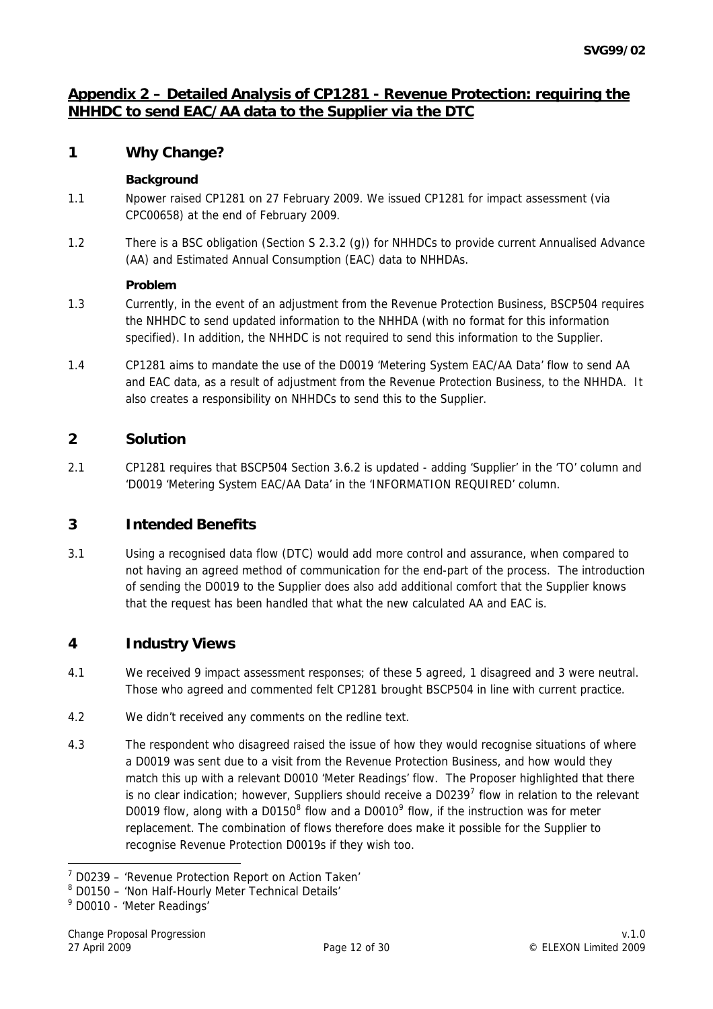# <span id="page-11-0"></span>**Appendix 2 – Detailed Analysis of CP1281 - Revenue Protection: requiring the NHHDC to send EAC/AA data to the Supplier via the DTC**

## **1 Why Change?**

### **Background**

- 1.1 Npower raised CP1281 on 27 February 2009. We issued CP1281 for impact assessment (via CPC00658) at the end of February 2009.
- 1.2 There is a BSC obligation (Section S 2.3.2 (g)) for NHHDCs to provide current Annualised Advance (AA) and Estimated Annual Consumption (EAC) data to NHHDAs.

### **Problem**

- 1.3 Currently, in the event of an adjustment from the Revenue Protection Business, BSCP504 requires the NHHDC to send updated information to the NHHDA (with no format for this information specified). In addition, the NHHDC is not required to send this information to the Supplier.
- 1.4 CP1281 aims to mandate the use of the D0019 'Metering System EAC/AA Data' flow to send AA and EAC data, as a result of adjustment from the Revenue Protection Business, to the NHHDA. It also creates a responsibility on NHHDCs to send this to the Supplier.

# **2 Solution**

2.1 CP1281 requires that BSCP504 Section 3.6.2 is updated - adding 'Supplier' in the 'TO' column and 'D0019 'Metering System EAC/AA Data' in the 'INFORMATION REQUIRED' column.

# **3 Intended Benefits**

3.1 Using a recognised data flow (DTC) would add more control and assurance, when compared to not having an agreed method of communication for the end-part of the process. The introduction of sending the D0019 to the Supplier does also add additional comfort that the Supplier knows that the request has been handled that what the new calculated AA and EAC is.

## **4 Industry Views**

- 4.1 We received 9 impact assessment responses; of these 5 agreed, 1 disagreed and 3 were neutral. Those who agreed and commented felt CP1281 brought BSCP504 in line with current practice.
- 4.2 We didn't received any comments on the redline text.
- 4.3 The respondent who disagreed raised the issue of how they would recognise situations of where a D0019 was sent due to a visit from the Revenue Protection Business, and how would they match this up with a relevant D0010 'Meter Readings' flow. The Proposer highlighted that there is no clear indication; however, Suppliers should receive a D0239<sup>[7](#page-11-0)</sup> flow in relation to the relevant D001[9](#page-11-0) flow, along with a D0150 $^8$  $^8$  flow and a D0010 $^9$  flow, if the instruction was for meter replacement. The combination of flows therefore does make it possible for the Supplier to recognise Revenue Protection D0019s if they wish too.

<sup>-</sup><sup>7</sup> D0239 - 'Revenue Protection Report on Action Taken'

<sup>&</sup>lt;sup>8</sup> D0150 - 'Non Half-Hourly Meter Technical Details'

<sup>9</sup> D0010 - 'Meter Readings'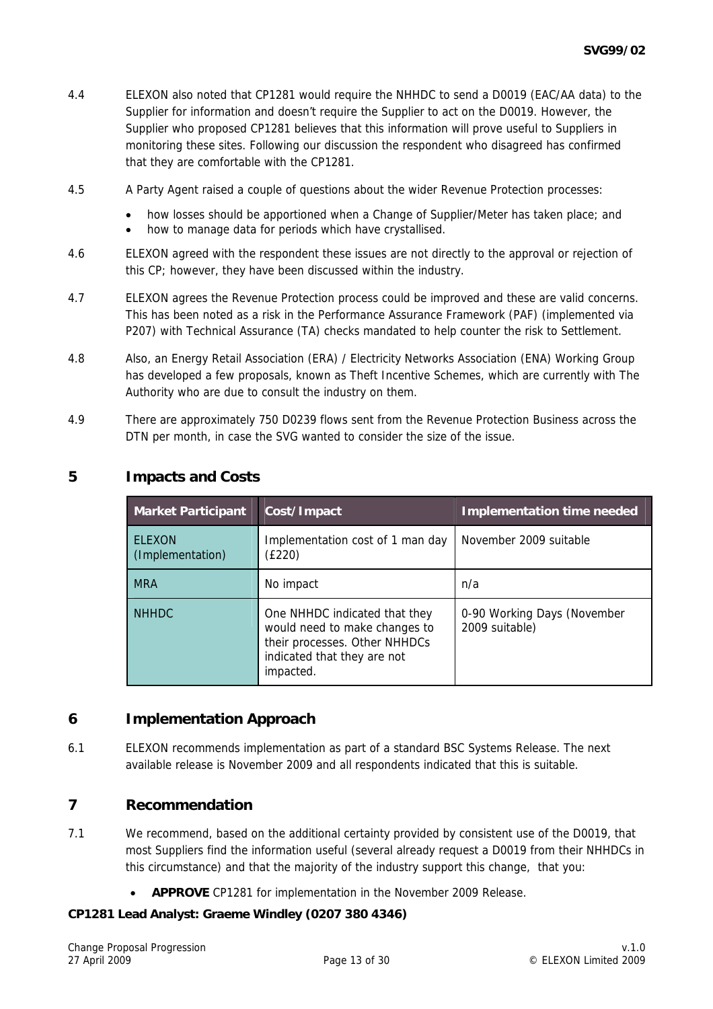- 4.4 ELEXON also noted that CP1281 would require the NHHDC to send a D0019 (EAC/AA data) to the Supplier for information and doesn't require the Supplier to act on the D0019. However, the Supplier who proposed CP1281 believes that this information will prove useful to Suppliers in monitoring these sites. Following our discussion the respondent who disagreed has confirmed that they are comfortable with the CP1281.
- 4.5 A Party Agent raised a couple of questions about the wider Revenue Protection processes:
	- how losses should be apportioned when a Change of Supplier/Meter has taken place; and
	- how to manage data for periods which have crystallised.
- 4.6 ELEXON agreed with the respondent these issues are not directly to the approval or rejection of this CP; however, they have been discussed within the industry.
- 4.7 ELEXON agrees the Revenue Protection process could be improved and these are valid concerns. This has been noted as a risk in the Performance Assurance Framework (PAF) (implemented via P207) with Technical Assurance (TA) checks mandated to help counter the risk to Settlement.
- 4.8 Also, an Energy Retail Association (ERA) / Electricity Networks Association (ENA) Working Group has developed a few proposals, known as Theft Incentive Schemes, which are currently with The Authority who are due to consult the industry on them.
- 4.9 There are approximately 750 D0239 flows sent from the Revenue Protection Business across the DTN per month, in case the SVG wanted to consider the size of the issue.

| <b>Market Participant</b>         | Cost/Impact                                                                                                                                 | <b>Implementation time needed</b>             |
|-----------------------------------|---------------------------------------------------------------------------------------------------------------------------------------------|-----------------------------------------------|
| <b>ELEXON</b><br>(Implementation) | Implementation cost of 1 man day<br>(£220)                                                                                                  | November 2009 suitable                        |
| <b>MRA</b>                        | No impact                                                                                                                                   | n/a                                           |
| <b>NHHDC</b>                      | One NHHDC indicated that they<br>would need to make changes to<br>their processes. Other NHHDCs<br>indicated that they are not<br>impacted. | 0-90 Working Days (November<br>2009 suitable) |

## **5 Impacts and Costs**

## **6 Implementation Approach**

6.1 ELEXON recommends implementation as part of a standard BSC Systems Release. The next available release is November 2009 and all respondents indicated that this is suitable.

### **7 Recommendation**

- 7.1 We recommend, based on the additional certainty provided by consistent use of the D0019, that most Suppliers find the information useful (several already request a D0019 from their NHHDCs in this circumstance) and that the majority of the industry support this change, that you:
	- **APPROVE** CP1281 for implementation in the November 2009 Release.

### **CP1281 Lead Analyst: Graeme Windley (0207 380 4346)**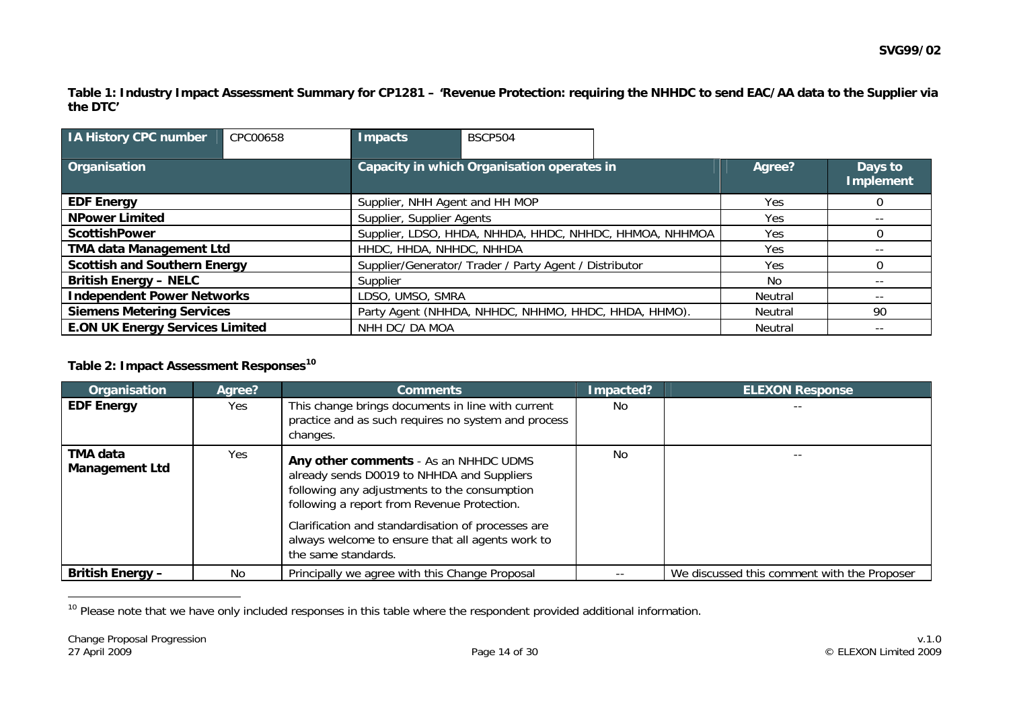**Table 1: Industry Impact Assessment Summary for CP1281 – 'Revenue Protection: requiring the NHHDC to send EAC/AA data to the Supplier via the DTC'** 

| <b>IA History CPC number</b>           | CPC00658 | Impacts                                                        | <b>BSCP504</b>                                       |            |          |                             |
|----------------------------------------|----------|----------------------------------------------------------------|------------------------------------------------------|------------|----------|-----------------------------|
| Organisation                           |          |                                                                | Capacity in which Organisation operates in           |            | Agree?   | Days to<br><b>Implement</b> |
| <b>EDF Energy</b>                      |          | Supplier, NHH Agent and HH MOP                                 |                                                      | <b>Yes</b> | $\Omega$ |                             |
| <b>NPower Limited</b>                  |          | Supplier, Supplier Agents<br>Yes                               |                                                      | $- -$      |          |                             |
| <b>ScottishPower</b>                   |          | Supplier, LDSO, HHDA, NHHDA, HHDC, NHHDC, HHMOA, NHHMOA<br>Yes |                                                      |            |          |                             |
| <b>TMA data Management Ltd</b>         |          | HHDC, HHDA, NHHDC, NHHDA                                       |                                                      | Yes        |          |                             |
| <b>Scottish and Southern Energy</b>    |          | Supplier/Generator/ Trader / Party Agent / Distributor         |                                                      | <b>Yes</b> |          |                             |
| <b>British Energy - NELC</b>           |          | Supplier                                                       |                                                      |            | No.      | $- -$                       |
| <b>Independent Power Networks</b>      |          | LDSO, UMSO, SMRA                                               |                                                      |            | Neutral  | $- -$                       |
| <b>Siemens Metering Services</b>       |          |                                                                | Party Agent (NHHDA, NHHDC, NHHMO, HHDC, HHDA, HHMO). |            | Neutral  | 90                          |
| <b>E.ON UK Energy Services Limited</b> |          | NHH DC/ DA MOA                                                 |                                                      |            | Neutral  | $- -$                       |

#### **Table 2: Impact Assessment Responses[10](#page-13-0)**

| Organisation                      | Aaree? | <b>Comments</b>                                                                                                                                                                                                                                                                                                     | Impacted? | <b>ELEXON Response</b>                      |
|-----------------------------------|--------|---------------------------------------------------------------------------------------------------------------------------------------------------------------------------------------------------------------------------------------------------------------------------------------------------------------------|-----------|---------------------------------------------|
| <b>EDF Energy</b>                 | Yes.   | This change brings documents in line with current<br>practice and as such requires no system and process<br>changes.                                                                                                                                                                                                | No.       |                                             |
| TMA data<br><b>Management Ltd</b> | Yes    | Any other comments - As an NHHDC UDMS<br>already sends D0019 to NHHDA and Suppliers<br>following any adjustments to the consumption<br>following a report from Revenue Protection.<br>Clarification and standardisation of processes are<br>always welcome to ensure that all agents work to<br>the same standards. | No.       |                                             |
| <b>British Energy -</b>           | No.    | Principally we agree with this Change Proposal                                                                                                                                                                                                                                                                      |           | We discussed this comment with the Proposer |

<span id="page-13-0"></span><sup>10</sup> Please note that we have only included responses in this table where the respondent provided additional information.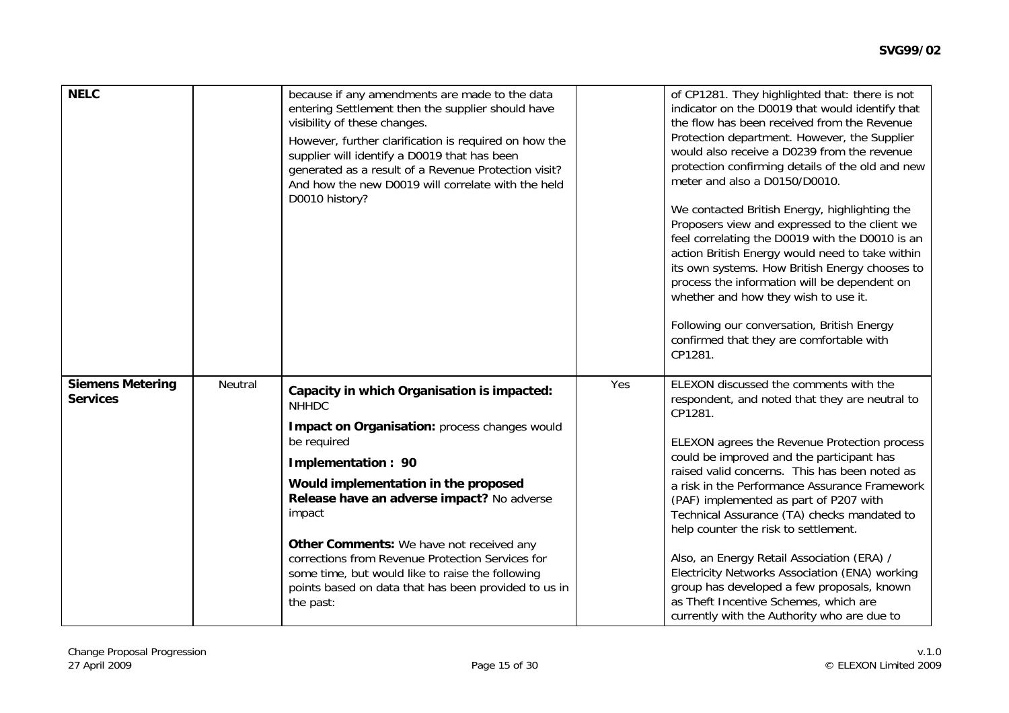| <b>NELC</b>                                |                | because if any amendments are made to the data<br>entering Settlement then the supplier should have<br>visibility of these changes.<br>However, further clarification is required on how the<br>supplier will identify a D0019 that has been<br>generated as a result of a Revenue Protection visit?<br>And how the new D0019 will correlate with the held<br>D0010 history? |     | of CP1281. They highlighted that: there is not<br>indicator on the D0019 that would identify that<br>the flow has been received from the Revenue<br>Protection department. However, the Supplier<br>would also receive a D0239 from the revenue<br>protection confirming details of the old and new<br>meter and also a D0150/D0010.<br>We contacted British Energy, highlighting the<br>Proposers view and expressed to the client we<br>feel correlating the D0019 with the D0010 is an<br>action British Energy would need to take within<br>its own systems. How British Energy chooses to<br>process the information will be dependent on<br>whether and how they wish to use it.<br>Following our conversation, British Energy<br>confirmed that they are comfortable with<br>CP1281. |
|--------------------------------------------|----------------|------------------------------------------------------------------------------------------------------------------------------------------------------------------------------------------------------------------------------------------------------------------------------------------------------------------------------------------------------------------------------|-----|---------------------------------------------------------------------------------------------------------------------------------------------------------------------------------------------------------------------------------------------------------------------------------------------------------------------------------------------------------------------------------------------------------------------------------------------------------------------------------------------------------------------------------------------------------------------------------------------------------------------------------------------------------------------------------------------------------------------------------------------------------------------------------------------|
| <b>Siemens Metering</b><br><b>Services</b> | <b>Neutral</b> | Capacity in which Organisation is impacted:<br><b>NHHDC</b><br>Impact on Organisation: process changes would                                                                                                                                                                                                                                                                 | Yes | ELEXON discussed the comments with the<br>respondent, and noted that they are neutral to<br>CP1281.                                                                                                                                                                                                                                                                                                                                                                                                                                                                                                                                                                                                                                                                                         |
|                                            |                | be required<br>Implementation: 90                                                                                                                                                                                                                                                                                                                                            |     | ELEXON agrees the Revenue Protection process<br>could be improved and the participant has                                                                                                                                                                                                                                                                                                                                                                                                                                                                                                                                                                                                                                                                                                   |
|                                            |                | Would implementation in the proposed                                                                                                                                                                                                                                                                                                                                         |     | raised valid concerns. This has been noted as<br>a risk in the Performance Assurance Framework                                                                                                                                                                                                                                                                                                                                                                                                                                                                                                                                                                                                                                                                                              |
|                                            |                | Release have an adverse impact? No adverse<br>impact                                                                                                                                                                                                                                                                                                                         |     | (PAF) implemented as part of P207 with<br>Technical Assurance (TA) checks mandated to<br>help counter the risk to settlement.                                                                                                                                                                                                                                                                                                                                                                                                                                                                                                                                                                                                                                                               |
|                                            |                | Other Comments: We have not received any<br>corrections from Revenue Protection Services for<br>some time, but would like to raise the following<br>points based on data that has been provided to us in<br>the past:                                                                                                                                                        |     | Also, an Energy Retail Association (ERA) /<br>Electricity Networks Association (ENA) working<br>group has developed a few proposals, known<br>as Theft Incentive Schemes, which are<br>currently with the Authority who are due to                                                                                                                                                                                                                                                                                                                                                                                                                                                                                                                                                          |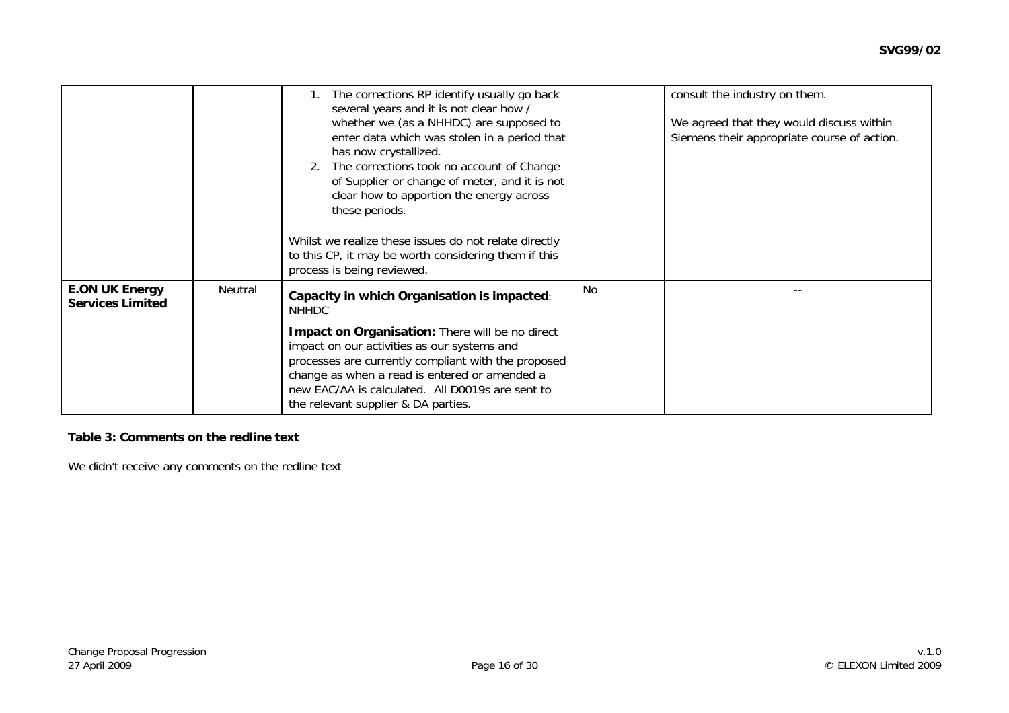|                                                  |         | The corrections RP identify usually go back<br>several years and it is not clear how /<br>whether we (as a NHHDC) are supposed to<br>enter data which was stolen in a period that<br>has now crystallized.<br>2. The corrections took no account of Change<br>of Supplier or change of meter, and it is not<br>clear how to apportion the energy across<br>these periods.<br>Whilst we realize these issues do not relate directly<br>to this CP, it may be worth considering them if this<br>process is being reviewed. |    | consult the industry on them.<br>We agreed that they would discuss within<br>Siemens their appropriate course of action. |
|--------------------------------------------------|---------|--------------------------------------------------------------------------------------------------------------------------------------------------------------------------------------------------------------------------------------------------------------------------------------------------------------------------------------------------------------------------------------------------------------------------------------------------------------------------------------------------------------------------|----|--------------------------------------------------------------------------------------------------------------------------|
| <b>E.ON UK Energy</b><br><b>Services Limited</b> | Neutral | Capacity in which Organisation is impacted:<br><b>NHHDC</b><br>Impact on Organisation: There will be no direct<br>impact on our activities as our systems and<br>processes are currently compliant with the proposed<br>change as when a read is entered or amended a<br>new EAC/AA is calculated. All D0019s are sent to<br>the relevant supplier & DA parties.                                                                                                                                                         | No |                                                                                                                          |

#### **Table 3: Comments on the redline text**

We didn't receive any comments on the redline text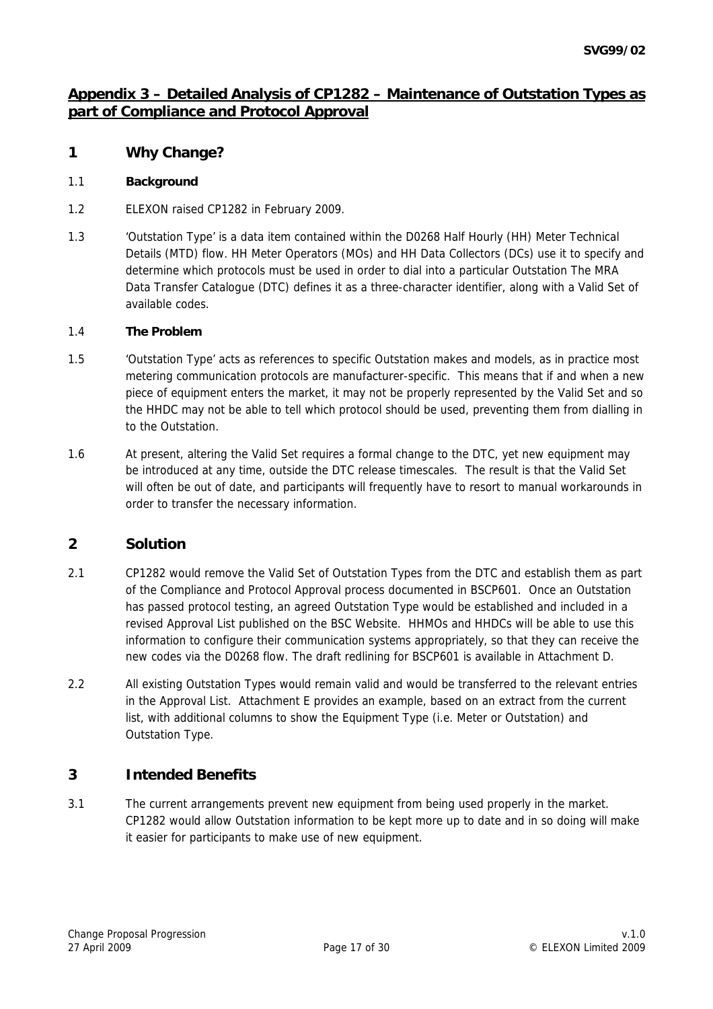# **Appendix 3 – Detailed Analysis of CP1282 – Maintenance of Outstation Types as part of Compliance and Protocol Approval**

## **1 Why Change?**

### 1.1 **Background**

- 1.2 ELEXON raised CP1282 in February 2009.
- 1.3 'Outstation Type' is a data item contained within the D0268 Half Hourly (HH) Meter Technical Details (MTD) flow. HH Meter Operators (MOs) and HH Data Collectors (DCs) use it to specify and determine which protocols must be used in order to dial into a particular Outstation The MRA Data Transfer Catalogue (DTC) defines it as a three-character identifier, along with a Valid Set of available codes.

#### 1.4 **The Problem**

- 1.5 'Outstation Type' acts as references to specific Outstation makes and models, as in practice most metering communication protocols are manufacturer-specific. This means that if and when a new piece of equipment enters the market, it may not be properly represented by the Valid Set and so the HHDC may not be able to tell which protocol should be used, preventing them from dialling in to the Outstation.
- 1.6 At present, altering the Valid Set requires a formal change to the DTC, yet new equipment may be introduced at any time, outside the DTC release timescales. The result is that the Valid Set will often be out of date, and participants will frequently have to resort to manual workarounds in order to transfer the necessary information.

## **2 Solution**

- 2.1 CP1282 would remove the Valid Set of Outstation Types from the DTC and establish them as part of the Compliance and Protocol Approval process documented in BSCP601. Once an Outstation has passed protocol testing, an agreed Outstation Type would be established and included in a revised Approval List published on the BSC Website. HHMOs and HHDCs will be able to use this information to configure their communication systems appropriately, so that they can receive the new codes via the D0268 flow. The draft redlining for BSCP601 is available in Attachment D.
- 2.2 All existing Outstation Types would remain valid and would be transferred to the relevant entries in the Approval List. Attachment E provides an example, based on an extract from the current list, with additional columns to show the Equipment Type (i.e. Meter or Outstation) and Outstation Type.

## **3 Intended Benefits**

3.1 The current arrangements prevent new equipment from being used properly in the market. CP1282 would allow Outstation information to be kept more up to date and in so doing will make it easier for participants to make use of new equipment.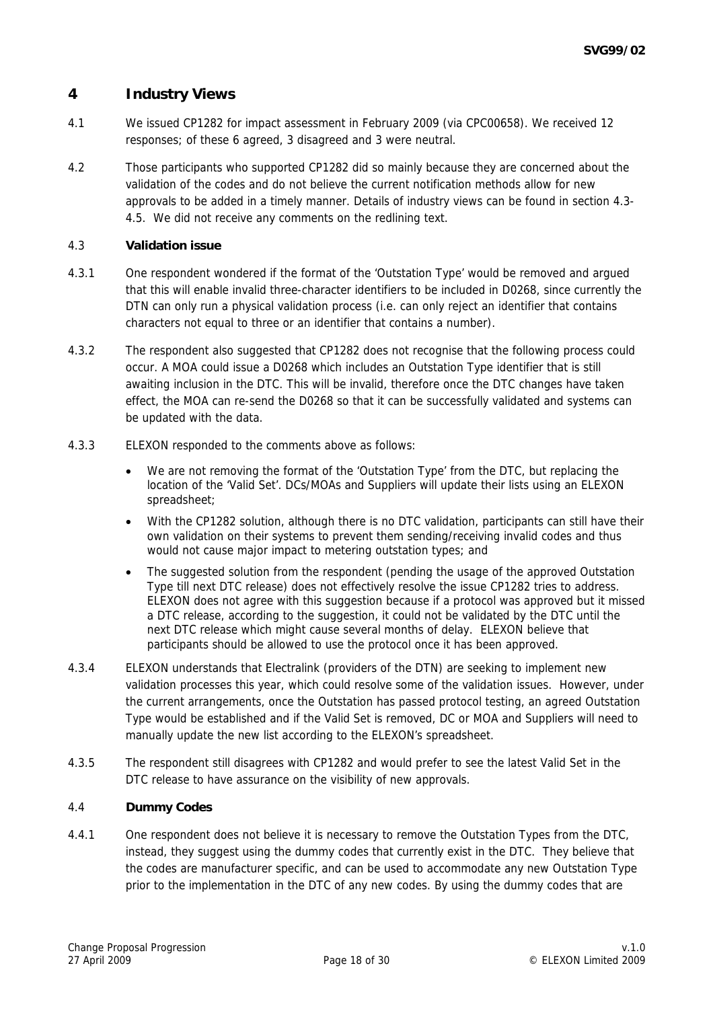## **4 Industry Views**

- 4.1 We issued CP1282 for impact assessment in February 2009 (via CPC00658). We received 12 responses; of these 6 agreed, 3 disagreed and 3 were neutral.
- 4.2 Those participants who supported CP1282 did so mainly because they are concerned about the validation of the codes and do not believe the current notification methods allow for new approvals to be added in a timely manner. Details of industry views can be found in section 4.3- 4.5. We did not receive any comments on the redlining text.

#### 4.3 **Validation issue**

- 4.3.1 One respondent wondered if the format of the 'Outstation Type' would be removed and argued that this will enable invalid three-character identifiers to be included in D0268, since currently the DTN can only run a physical validation process (i.e. can only reject an identifier that contains characters not equal to three or an identifier that contains a number).
- 4.3.2 The respondent also suggested that CP1282 does not recognise that the following process could occur. A MOA could issue a D0268 which includes an Outstation Type identifier that is still awaiting inclusion in the DTC. This will be invalid, therefore once the DTC changes have taken effect, the MOA can re-send the D0268 so that it can be successfully validated and systems can be updated with the data.
- 4.3.3 ELEXON responded to the comments above as follows:
	- We are not removing the format of the 'Outstation Type' from the DTC, but replacing the location of the 'Valid Set'. DCs/MOAs and Suppliers will update their lists using an ELEXON spreadsheet;
	- With the CP1282 solution, although there is no DTC validation, participants can still have their own validation on their systems to prevent them sending/receiving invalid codes and thus would not cause major impact to metering outstation types; and
	- The suggested solution from the respondent (pending the usage of the approved Outstation Type till next DTC release) does not effectively resolve the issue CP1282 tries to address. ELEXON does not agree with this suggestion because if a protocol was approved but it missed a DTC release, according to the suggestion, it could not be validated by the DTC until the next DTC release which might cause several months of delay. ELEXON believe that participants should be allowed to use the protocol once it has been approved.
- 4.3.4 ELEXON understands that Electralink (providers of the DTN) are seeking to implement new validation processes this year, which could resolve some of the validation issues. However, under the current arrangements, once the Outstation has passed protocol testing, an agreed Outstation Type would be established and if the Valid Set is removed, DC or MOA and Suppliers will need to manually update the new list according to the ELEXON's spreadsheet.
- 4.3.5 The respondent still disagrees with CP1282 and would prefer to see the latest Valid Set in the DTC release to have assurance on the visibility of new approvals.

#### 4.4 **Dummy Codes**

4.4.1 One respondent does not believe it is necessary to remove the Outstation Types from the DTC, instead, they suggest using the dummy codes that currently exist in the DTC. They believe that the codes are manufacturer specific, and can be used to accommodate any new Outstation Type prior to the implementation in the DTC of any new codes. By using the dummy codes that are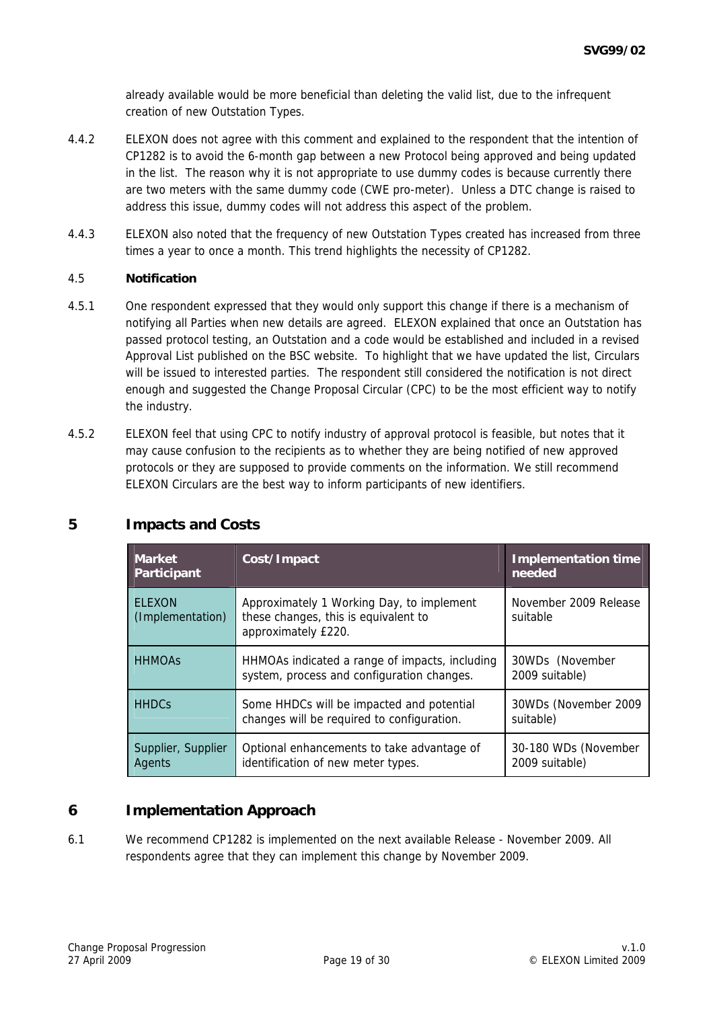already available would be more beneficial than deleting the valid list, due to the infrequent creation of new Outstation Types.

- 4.4.2 ELEXON does not agree with this comment and explained to the respondent that the intention of CP1282 is to avoid the 6-month gap between a new Protocol being approved and being updated in the list. The reason why it is not appropriate to use dummy codes is because currently there are two meters with the same dummy code (CWE pro-meter). Unless a DTC change is raised to address this issue, dummy codes will not address this aspect of the problem.
- 4.4.3 ELEXON also noted that the frequency of new Outstation Types created has increased from three times a year to once a month. This trend highlights the necessity of CP1282.

#### 4.5 **Notification**

- 4.5.1 One respondent expressed that they would only support this change if there is a mechanism of notifying all Parties when new details are agreed. ELEXON explained that once an Outstation has passed protocol testing, an Outstation and a code would be established and included in a revised Approval List published on the BSC website. To highlight that we have updated the list, Circulars will be issued to interested parties. The respondent still considered the notification is not direct enough and suggested the Change Proposal Circular (CPC) to be the most efficient way to notify the industry.
- 4.5.2 ELEXON feel that using CPC to notify industry of approval protocol is feasible, but notes that it may cause confusion to the recipients as to whether they are being notified of new approved protocols or they are supposed to provide comments on the information. We still recommend ELEXON Circulars are the best way to inform participants of new identifiers.

| <b>Market</b><br>Participant                                                                                     | Cost/Impact<br><b>Implementation time</b><br>needed                                                      |                                        |
|------------------------------------------------------------------------------------------------------------------|----------------------------------------------------------------------------------------------------------|----------------------------------------|
| <b>ELEXON</b><br>(Implementation)                                                                                | Approximately 1 Working Day, to implement<br>these changes, this is equivalent to<br>approximately £220. | November 2009 Release<br>suitable      |
| <b>HHMOAS</b>                                                                                                    | HHMOAs indicated a range of impacts, including<br>system, process and configuration changes.             | 30WDs (November<br>2009 suitable)      |
| <b>HHDCs</b>                                                                                                     | Some HHDCs will be impacted and potential<br>changes will be required to configuration.                  |                                        |
| Supplier, Supplier<br>Optional enhancements to take advantage of<br>identification of new meter types.<br>Agents |                                                                                                          | 30-180 WDs (November<br>2009 suitable) |

# **5 Impacts and Costs**

## **6 Implementation Approach**

6.1 We recommend CP1282 is implemented on the next available Release - November 2009. All respondents agree that they can implement this change by November 2009.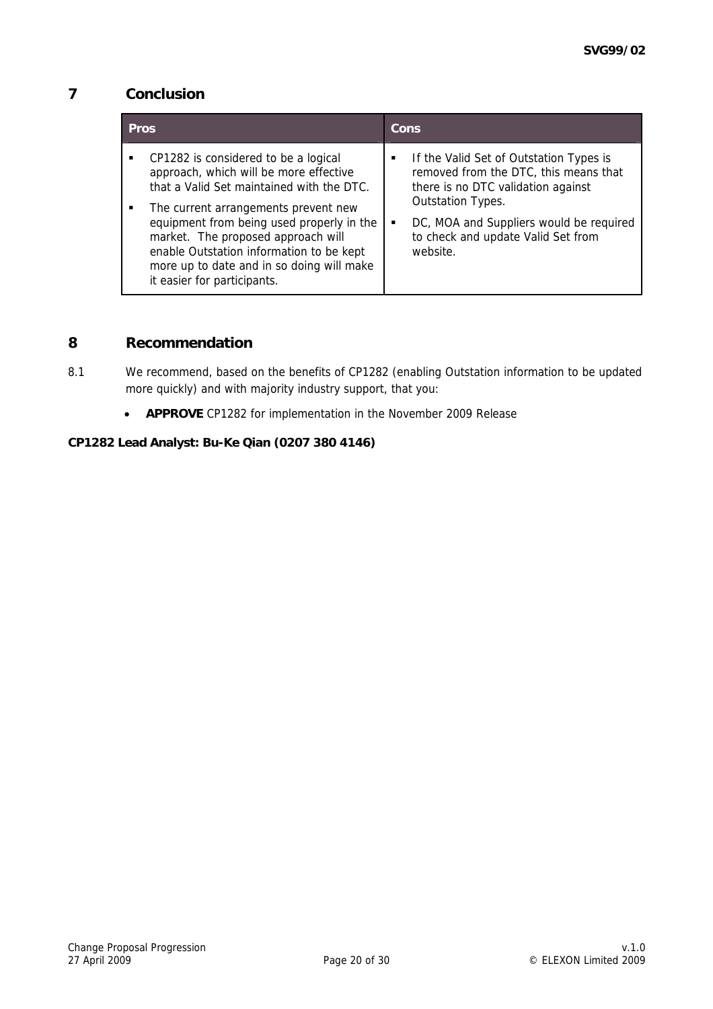# **7 Conclusion**

| <b>Pros</b> |                                                                                                                                                                                                                                                                                                                                                                                |   | Cons                                                                                                                                                                                                                                     |
|-------------|--------------------------------------------------------------------------------------------------------------------------------------------------------------------------------------------------------------------------------------------------------------------------------------------------------------------------------------------------------------------------------|---|------------------------------------------------------------------------------------------------------------------------------------------------------------------------------------------------------------------------------------------|
| ٠           | CP1282 is considered to be a logical<br>approach, which will be more effective<br>that a Valid Set maintained with the DTC.<br>The current arrangements prevent new<br>equipment from being used properly in the<br>market. The proposed approach will<br>enable Outstation information to be kept<br>more up to date and in so doing will make<br>it easier for participants. | п | If the Valid Set of Outstation Types is<br>removed from the DTC, this means that<br>there is no DTC validation against<br>Outstation Types.<br>DC, MOA and Suppliers would be required<br>to check and update Valid Set from<br>website. |

## **8 Recommendation**

- 8.1 We recommend, based on the benefits of CP1282 (enabling Outstation information to be updated more quickly) and with majority industry support, that you:
	- **APPROVE** CP1282 for implementation in the November 2009 Release

### **CP1282 Lead Analyst: Bu-Ke Qian (0207 380 4146)**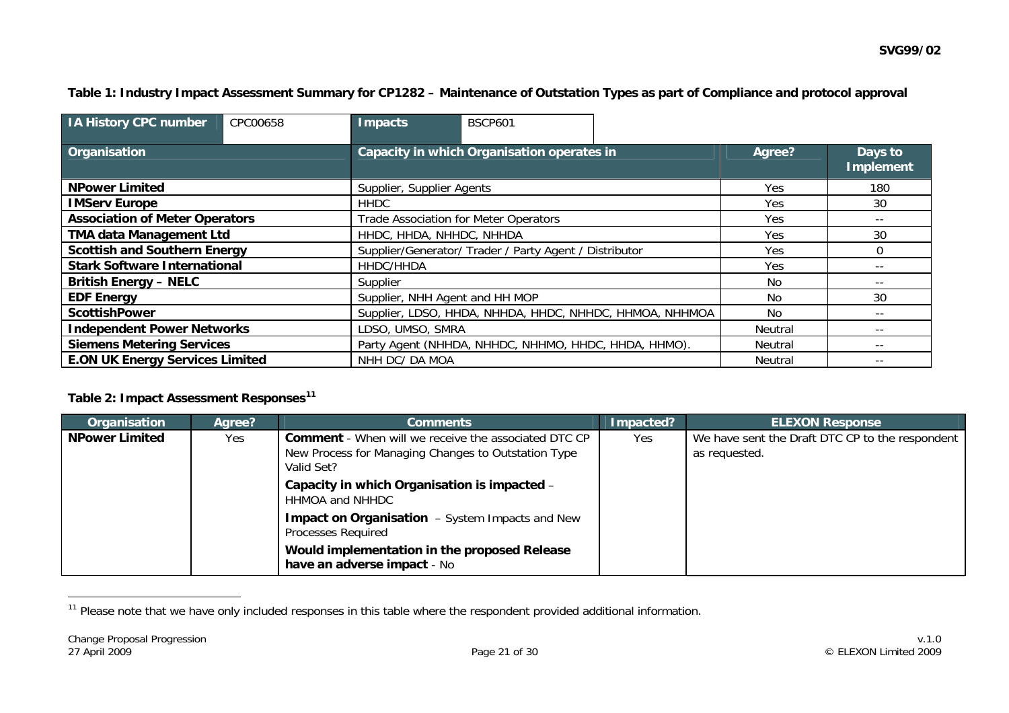### **Table 1: Industry Impact Assessment Summary for CP1282 – Maintenance of Outstation Types as part of Compliance and protocol approval**

| <b>IA History CPC number</b>           | CPC00658 | Impacts                                                 | <b>BSCP601</b> |  |                |                      |
|----------------------------------------|----------|---------------------------------------------------------|----------------|--|----------------|----------------------|
| Organisation                           |          | Capacity in which Organisation operates in              |                |  | Agree?         | Days to<br>Implement |
| <b>NPower Limited</b>                  |          | Supplier, Supplier Agents                               |                |  | Yes.           | 180                  |
| <b>IMServ Europe</b>                   |          | <b>HHDC</b>                                             |                |  | Yes            | 30                   |
| <b>Association of Meter Operators</b>  |          | Trade Association for Meter Operators                   |                |  | Yes            | $- -$                |
| <b>TMA data Management Ltd</b>         |          | HHDC, HHDA, NHHDC, NHHDA                                |                |  | Yes            | 30                   |
| <b>Scottish and Southern Energy</b>    |          | Supplier/Generator/ Trader / Party Agent / Distributor  |                |  | <b>Yes</b>     | $\Omega$             |
| <b>Stark Software International</b>    |          | HHDC/HHDA                                               |                |  | <b>Yes</b>     | $- -$                |
| <b>British Energy - NELC</b>           |          | Supplier                                                |                |  | No.            | $- -$                |
| <b>EDF Energy</b>                      |          | Supplier, NHH Agent and HH MOP                          |                |  | No.            | 30                   |
| <b>ScottishPower</b>                   |          | Supplier, LDSO, HHDA, NHHDA, HHDC, NHHDC, HHMOA, NHHMOA |                |  | No.            | $- -$                |
| <b>Independent Power Networks</b>      |          | LDSO, UMSO, SMRA                                        |                |  | <b>Neutral</b> | $- -$                |
| <b>Siemens Metering Services</b>       |          | Party Agent (NHHDA, NHHDC, NHHMO, HHDC, HHDA, HHMO).    |                |  | Neutral        | $- -$                |
| <b>E.ON UK Energy Services Limited</b> |          | NHH DC/ DA MOA                                          |                |  | <b>Neutral</b> | $- -$                |

### **Table 2: Impact Assessment Responses[11](#page-20-0)**

| Organisation          | Agree? | <b>Comments</b>                                                                                                                  | Impacted? | <b>ELEXON Response</b>                                           |
|-----------------------|--------|----------------------------------------------------------------------------------------------------------------------------------|-----------|------------------------------------------------------------------|
| <b>NPower Limited</b> | Yes    | <b>Comment</b> - When will we receive the associated DTC CP<br>New Process for Managing Changes to Outstation Type<br>Valid Set? | Yes       | We have sent the Draft DTC CP to the respondent<br>as requested. |
|                       |        | Capacity in which Organisation is impacted -<br>HHMOA and NHHDC                                                                  |           |                                                                  |
|                       |        | <b>Impact on Organisation</b> – System Impacts and New<br>Processes Required                                                     |           |                                                                  |
|                       |        | Would implementation in the proposed Release<br>have an adverse impact - No                                                      |           |                                                                  |

<span id="page-20-0"></span><sup>&</sup>lt;sup>11</sup> Please note that we have only included responses in this table where the respondent provided additional information.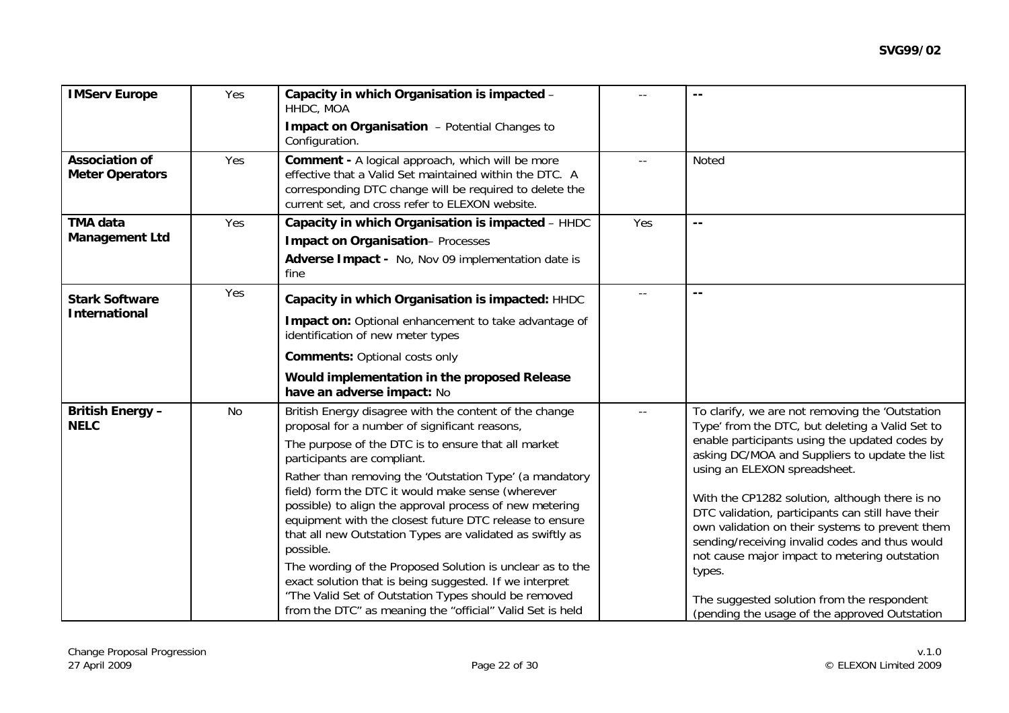| <b>IMServ Europe</b><br>Yes                            |     | Capacity in which Organisation is impacted -<br>HHDC, MOA<br>Impact on Organisation - Potential Changes to<br>Configuration.                                                                                                                                                                                                                                                                                                                                                                                                                                                                                                                                                                                                                               |       | $ -$                                                                                                                                                                                                                                                                                                                                                                                                                                                                                                                                                                                                         |
|--------------------------------------------------------|-----|------------------------------------------------------------------------------------------------------------------------------------------------------------------------------------------------------------------------------------------------------------------------------------------------------------------------------------------------------------------------------------------------------------------------------------------------------------------------------------------------------------------------------------------------------------------------------------------------------------------------------------------------------------------------------------------------------------------------------------------------------------|-------|--------------------------------------------------------------------------------------------------------------------------------------------------------------------------------------------------------------------------------------------------------------------------------------------------------------------------------------------------------------------------------------------------------------------------------------------------------------------------------------------------------------------------------------------------------------------------------------------------------------|
| <b>Association of</b><br>Yes<br><b>Meter Operators</b> |     | <b>Comment - A logical approach, which will be more</b><br>effective that a Valid Set maintained within the DTC. A<br>corresponding DTC change will be required to delete the<br>current set, and cross refer to ELEXON website.                                                                                                                                                                                                                                                                                                                                                                                                                                                                                                                           |       | <b>Noted</b>                                                                                                                                                                                                                                                                                                                                                                                                                                                                                                                                                                                                 |
| <b>TMA data</b><br><b>Management Ltd</b>               | Yes | Capacity in which Organisation is impacted - HHDC<br><b>Impact on Organisation-Processes</b><br>Adverse Impact - No, Nov 09 implementation date is<br>fine                                                                                                                                                                                                                                                                                                                                                                                                                                                                                                                                                                                                 | Yes   | $ -$                                                                                                                                                                                                                                                                                                                                                                                                                                                                                                                                                                                                         |
| <b>Stark Software</b><br><b>International</b>          | Yes | Capacity in which Organisation is impacted: HHDC<br>Impact on: Optional enhancement to take advantage of<br>identification of new meter types<br><b>Comments: Optional costs only</b><br>Would implementation in the proposed Release<br>have an adverse impact: No                                                                                                                                                                                                                                                                                                                                                                                                                                                                                        |       | $\overline{a}$                                                                                                                                                                                                                                                                                                                                                                                                                                                                                                                                                                                               |
| <b>British Energy-</b><br><b>NELC</b>                  | No  | British Energy disagree with the content of the change<br>proposal for a number of significant reasons,<br>The purpose of the DTC is to ensure that all market<br>participants are compliant.<br>Rather than removing the 'Outstation Type' (a mandatory<br>field) form the DTC it would make sense (wherever<br>possible) to align the approval process of new metering<br>equipment with the closest future DTC release to ensure<br>that all new Outstation Types are validated as swiftly as<br>possible.<br>The wording of the Proposed Solution is unclear as to the<br>exact solution that is being suggested. If we interpret<br>"The Valid Set of Outstation Types should be removed<br>from the DTC" as meaning the "official" Valid Set is held | $- -$ | To clarify, we are not removing the 'Outstation<br>Type' from the DTC, but deleting a Valid Set to<br>enable participants using the updated codes by<br>asking DC/MOA and Suppliers to update the list<br>using an ELEXON spreadsheet.<br>With the CP1282 solution, although there is no<br>DTC validation, participants can still have their<br>own validation on their systems to prevent them<br>sending/receiving invalid codes and thus would<br>not cause major impact to metering outstation<br>types.<br>The suggested solution from the respondent<br>(pending the usage of the approved Outstation |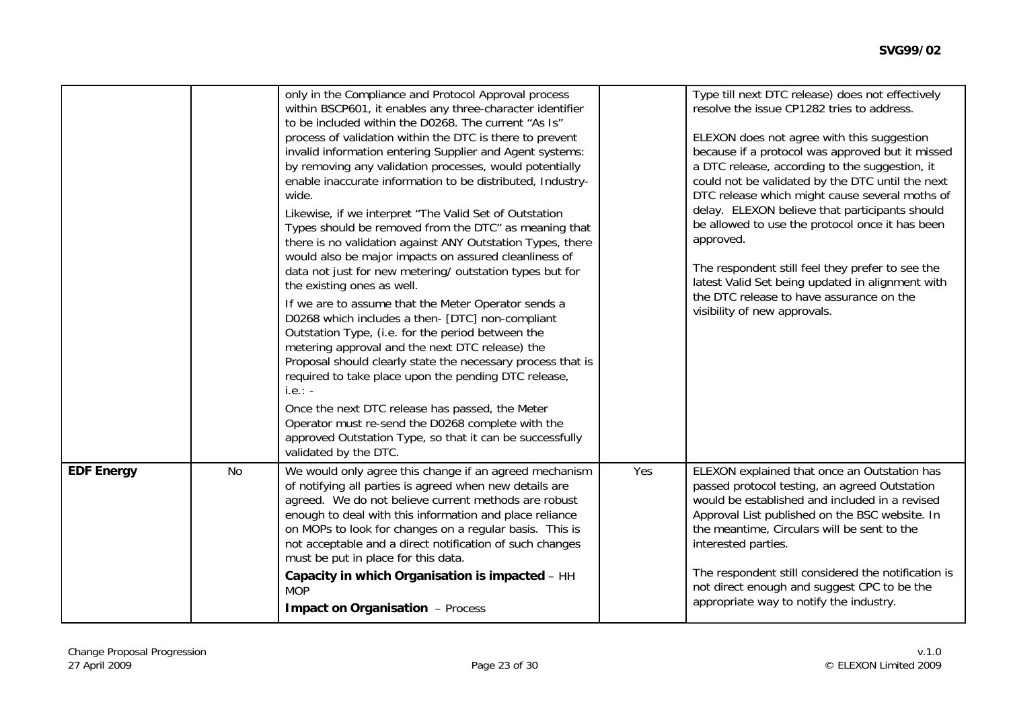|                   |    | only in the Compliance and Protocol Approval process<br>within BSCP601, it enables any three-character identifier<br>to be included within the D0268. The current "As Is"<br>process of validation within the DTC is there to prevent<br>invalid information entering Supplier and Agent systems:<br>by removing any validation processes, would potentially<br>enable inaccurate information to be distributed, Industry-<br>wide.<br>Likewise, if we interpret "The Valid Set of Outstation<br>Types should be removed from the DTC" as meaning that<br>there is no validation against ANY Outstation Types, there<br>would also be major impacts on assured cleanliness of<br>data not just for new metering/ outstation types but for<br>the existing ones as well.<br>If we are to assume that the Meter Operator sends a<br>D0268 which includes a then- [DTC] non-compliant<br>Outstation Type, (i.e. for the period between the<br>metering approval and the next DTC release) the<br>Proposal should clearly state the necessary process that is<br>required to take place upon the pending DTC release,<br>$i.e.: -$<br>Once the next DTC release has passed, the Meter<br>Operator must re-send the D0268 complete with the<br>approved Outstation Type, so that it can be successfully<br>validated by the DTC. |     | Type till next DTC release) does not effectively<br>resolve the issue CP1282 tries to address.<br>ELEXON does not agree with this suggestion<br>because if a protocol was approved but it missed<br>a DTC release, according to the suggestion, it<br>could not be validated by the DTC until the next<br>DTC release which might cause several moths of<br>delay. ELEXON believe that participants should<br>be allowed to use the protocol once it has been<br>approved.<br>The respondent still feel they prefer to see the<br>latest Valid Set being updated in alignment with<br>the DTC release to have assurance on the<br>visibility of new approvals. |
|-------------------|----|-----------------------------------------------------------------------------------------------------------------------------------------------------------------------------------------------------------------------------------------------------------------------------------------------------------------------------------------------------------------------------------------------------------------------------------------------------------------------------------------------------------------------------------------------------------------------------------------------------------------------------------------------------------------------------------------------------------------------------------------------------------------------------------------------------------------------------------------------------------------------------------------------------------------------------------------------------------------------------------------------------------------------------------------------------------------------------------------------------------------------------------------------------------------------------------------------------------------------------------------------------------------------------------------------------------------------------|-----|----------------------------------------------------------------------------------------------------------------------------------------------------------------------------------------------------------------------------------------------------------------------------------------------------------------------------------------------------------------------------------------------------------------------------------------------------------------------------------------------------------------------------------------------------------------------------------------------------------------------------------------------------------------|
| <b>EDF Energy</b> | No | We would only agree this change if an agreed mechanism<br>of notifying all parties is agreed when new details are<br>agreed. We do not believe current methods are robust<br>enough to deal with this information and place reliance<br>on MOPs to look for changes on a regular basis. This is<br>not acceptable and a direct notification of such changes<br>must be put in place for this data.<br>Capacity in which Organisation is impacted - HH<br><b>MOP</b><br><b>Impact on Organisation - Process</b>                                                                                                                                                                                                                                                                                                                                                                                                                                                                                                                                                                                                                                                                                                                                                                                                              | Yes | ELEXON explained that once an Outstation has<br>passed protocol testing, an agreed Outstation<br>would be established and included in a revised<br>Approval List published on the BSC website. In<br>the meantime, Circulars will be sent to the<br>interested parties.<br>The respondent still considered the notification is<br>not direct enough and suggest CPC to be the<br>appropriate way to notify the industry.                                                                                                                                                                                                                                       |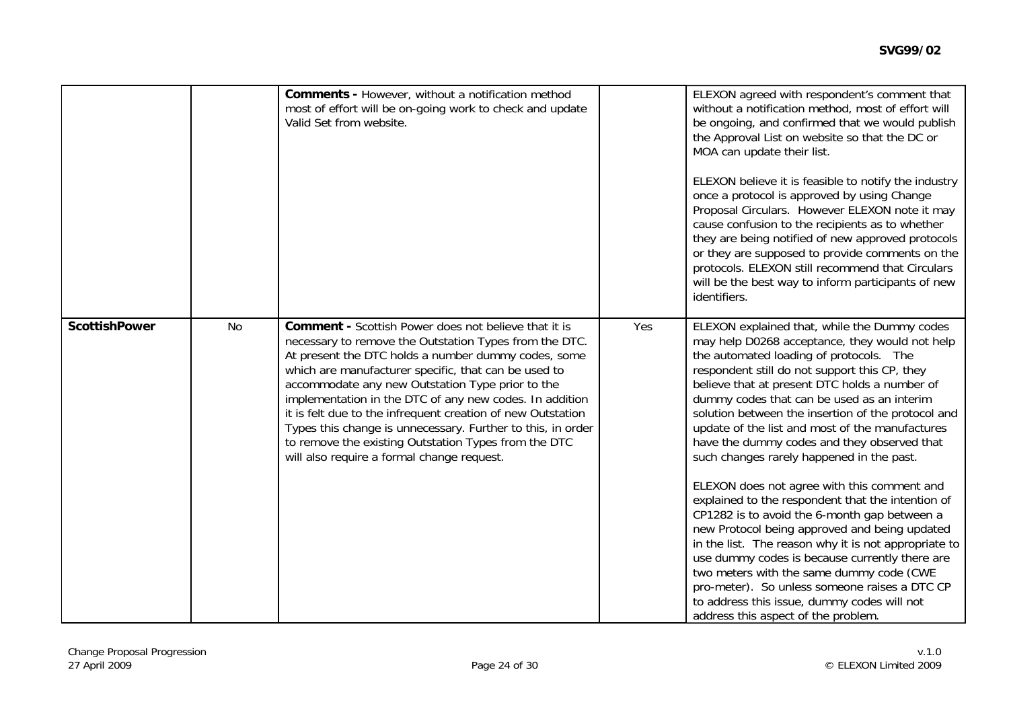|                      |    | <b>Comments - However, without a notification method</b><br>most of effort will be on-going work to check and update<br>Valid Set from website.                                                                                                                                                                                                                                                                                                                                                                                                                                         |     | ELEXON agreed with respondent's comment that<br>without a notification method, most of effort will<br>be ongoing, and confirmed that we would publish<br>the Approval List on website so that the DC or<br>MOA can update their list.<br>ELEXON believe it is feasible to notify the industry<br>once a protocol is approved by using Change<br>Proposal Circulars. However ELEXON note it may<br>cause confusion to the recipients as to whether<br>they are being notified of new approved protocols<br>or they are supposed to provide comments on the<br>protocols. ELEXON still recommend that Circulars |
|----------------------|----|-----------------------------------------------------------------------------------------------------------------------------------------------------------------------------------------------------------------------------------------------------------------------------------------------------------------------------------------------------------------------------------------------------------------------------------------------------------------------------------------------------------------------------------------------------------------------------------------|-----|---------------------------------------------------------------------------------------------------------------------------------------------------------------------------------------------------------------------------------------------------------------------------------------------------------------------------------------------------------------------------------------------------------------------------------------------------------------------------------------------------------------------------------------------------------------------------------------------------------------|
| <b>ScottishPower</b> | No | <b>Comment - Scottish Power does not believe that it is</b><br>necessary to remove the Outstation Types from the DTC.<br>At present the DTC holds a number dummy codes, some<br>which are manufacturer specific, that can be used to<br>accommodate any new Outstation Type prior to the<br>implementation in the DTC of any new codes. In addition<br>it is felt due to the infrequent creation of new Outstation<br>Types this change is unnecessary. Further to this, in order<br>to remove the existing Outstation Types from the DTC<br>will also require a formal change request. | Yes | will be the best way to inform participants of new<br>identifiers.<br>ELEXON explained that, while the Dummy codes<br>may help D0268 acceptance, they would not help<br>the automated loading of protocols. The<br>respondent still do not support this CP, they<br>believe that at present DTC holds a number of<br>dummy codes that can be used as an interim<br>solution between the insertion of the protocol and<br>update of the list and most of the manufactures<br>have the dummy codes and they observed that<br>such changes rarely happened in the past.                                          |
|                      |    |                                                                                                                                                                                                                                                                                                                                                                                                                                                                                                                                                                                         |     | ELEXON does not agree with this comment and<br>explained to the respondent that the intention of<br>CP1282 is to avoid the 6-month gap between a<br>new Protocol being approved and being updated<br>in the list. The reason why it is not appropriate to<br>use dummy codes is because currently there are<br>two meters with the same dummy code (CWE<br>pro-meter). So unless someone raises a DTC CP<br>to address this issue, dummy codes will not<br>address this aspect of the problem.                                                                                                                |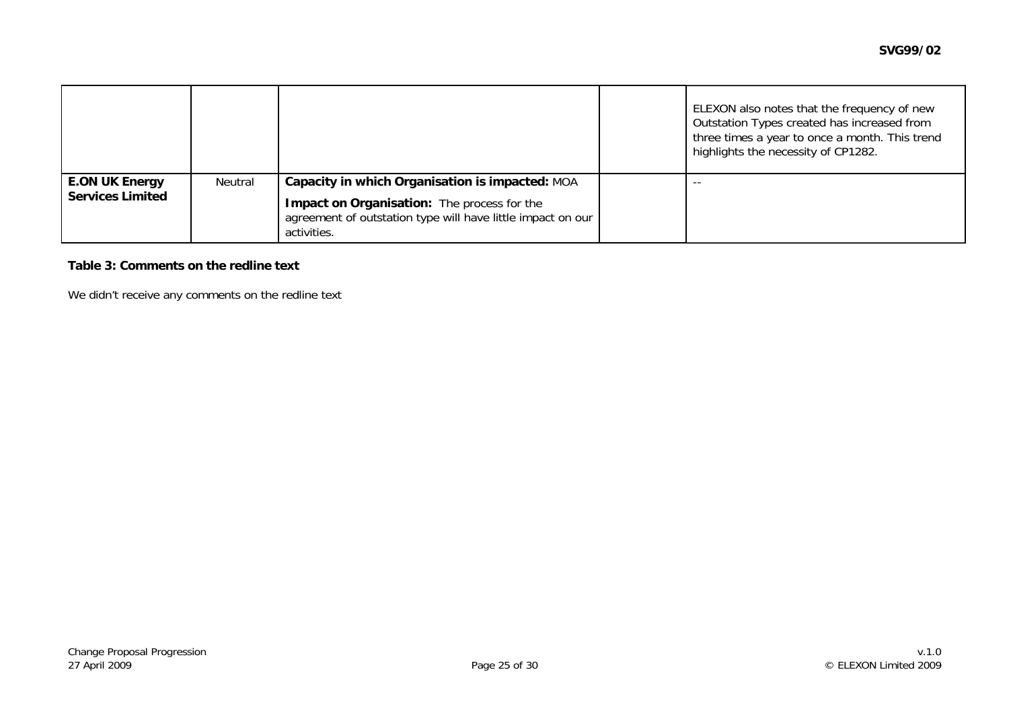|                         |         |                                                                                                                           | ELEXON also notes that the frequency of new<br>Outstation Types created has increased from<br>three times a year to once a month. This trend<br>highlights the necessity of CP1282. |
|-------------------------|---------|---------------------------------------------------------------------------------------------------------------------------|-------------------------------------------------------------------------------------------------------------------------------------------------------------------------------------|
| <b>E.ON UK Energy</b>   | Neutral | Capacity in which Organisation is impacted: MOA                                                                           | $ -$                                                                                                                                                                                |
| <b>Services Limited</b> |         | Impact on Organisation: The process for the<br>agreement of outstation type will have little impact on our<br>activities. |                                                                                                                                                                                     |

#### **Table 3: Comments on the redline text**

We didn't receive any comments on the redline text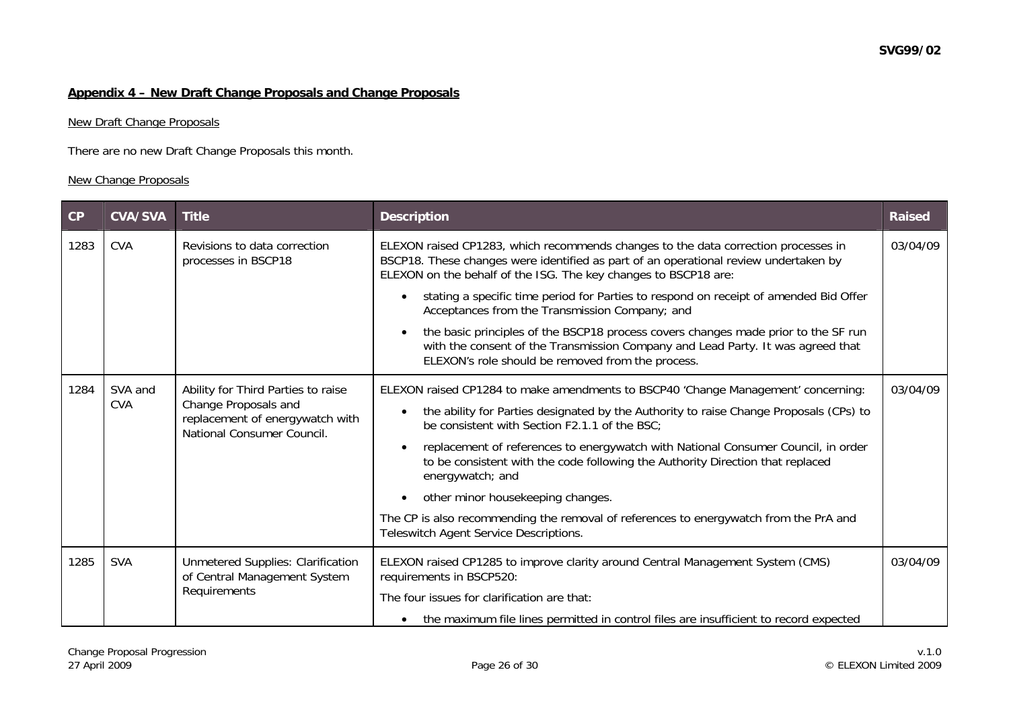### **Appendix 4 – New Draft Change Proposals and Change Proposals**

#### New Draft Change Proposals

There are no new Draft Change Proposals this month.

### New Change Proposals

| CP   | <b>CVA/SVA</b>        | <b>Title</b>                                                                                                                | <b>Description</b>                                                                                                                                                                                                                                                                                                                                                                                                                                                                                                                                                                              | <b>Raised</b> |
|------|-----------------------|-----------------------------------------------------------------------------------------------------------------------------|-------------------------------------------------------------------------------------------------------------------------------------------------------------------------------------------------------------------------------------------------------------------------------------------------------------------------------------------------------------------------------------------------------------------------------------------------------------------------------------------------------------------------------------------------------------------------------------------------|---------------|
| 1283 | <b>CVA</b>            | Revisions to data correction<br>processes in BSCP18                                                                         | ELEXON raised CP1283, which recommends changes to the data correction processes in<br>BSCP18. These changes were identified as part of an operational review undertaken by<br>ELEXON on the behalf of the ISG. The key changes to BSCP18 are:                                                                                                                                                                                                                                                                                                                                                   | 03/04/09      |
|      |                       |                                                                                                                             | stating a specific time period for Parties to respond on receipt of amended Bid Offer<br>Acceptances from the Transmission Company; and                                                                                                                                                                                                                                                                                                                                                                                                                                                         |               |
|      |                       |                                                                                                                             | the basic principles of the BSCP18 process covers changes made prior to the SF run<br>with the consent of the Transmission Company and Lead Party. It was agreed that<br>ELEXON's role should be removed from the process.                                                                                                                                                                                                                                                                                                                                                                      |               |
| 1284 | SVA and<br><b>CVA</b> | Ability for Third Parties to raise<br>Change Proposals and<br>replacement of energywatch with<br>National Consumer Council. | ELEXON raised CP1284 to make amendments to BSCP40 'Change Management' concerning:<br>the ability for Parties designated by the Authority to raise Change Proposals (CPs) to<br>be consistent with Section F2.1.1 of the BSC;<br>replacement of references to energywatch with National Consumer Council, in order<br>to be consistent with the code following the Authority Direction that replaced<br>energywatch; and<br>other minor housekeeping changes.<br>The CP is also recommending the removal of references to energywatch from the PrA and<br>Teleswitch Agent Service Descriptions. | 03/04/09      |
| 1285 | <b>SVA</b>            | Unmetered Supplies: Clarification<br>of Central Management System<br>Requirements                                           | ELEXON raised CP1285 to improve clarity around Central Management System (CMS)<br>requirements in BSCP520:<br>The four issues for clarification are that:<br>the maximum file lines permitted in control files are insufficient to record expected                                                                                                                                                                                                                                                                                                                                              | 03/04/09      |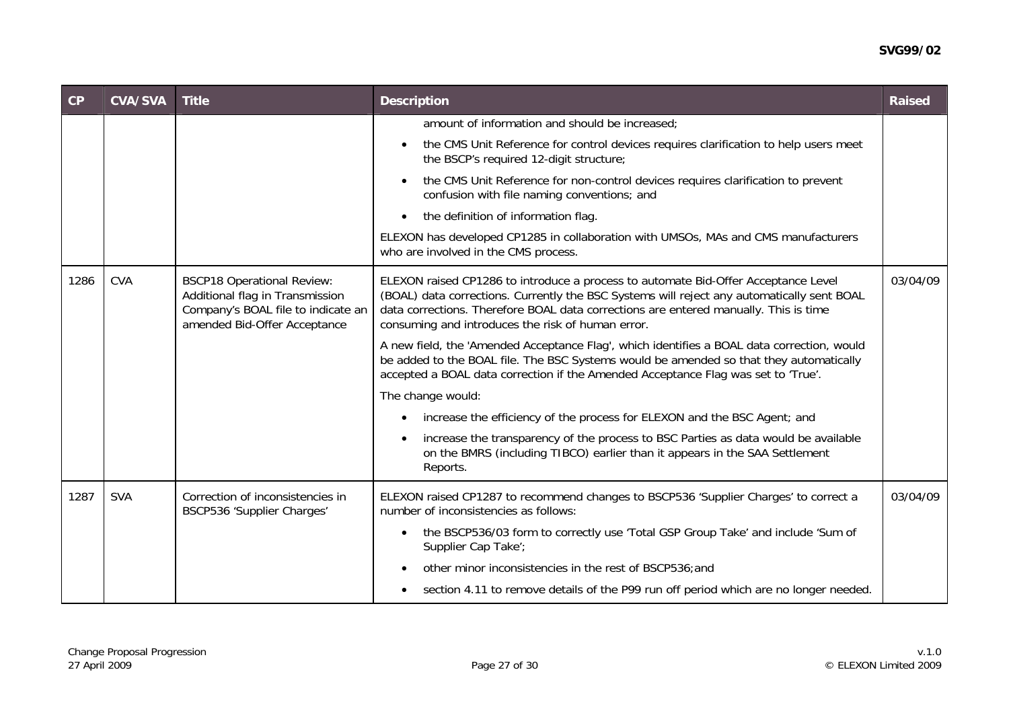#### **SVG99/02**

| CP   | <b>CVA/SVA</b> | <b>Title</b>                                                                                                                               | <b>Description</b>                                                                                                                                                                                                                                                                                                            | <b>Raised</b> |
|------|----------------|--------------------------------------------------------------------------------------------------------------------------------------------|-------------------------------------------------------------------------------------------------------------------------------------------------------------------------------------------------------------------------------------------------------------------------------------------------------------------------------|---------------|
|      |                |                                                                                                                                            | amount of information and should be increased;                                                                                                                                                                                                                                                                                |               |
|      |                |                                                                                                                                            | the CMS Unit Reference for control devices requires clarification to help users meet<br>the BSCP's required 12-digit structure;                                                                                                                                                                                               |               |
|      |                |                                                                                                                                            | the CMS Unit Reference for non-control devices requires clarification to prevent<br>confusion with file naming conventions; and                                                                                                                                                                                               |               |
|      |                |                                                                                                                                            | the definition of information flag.<br>$\bullet$                                                                                                                                                                                                                                                                              |               |
|      |                |                                                                                                                                            | ELEXON has developed CP1285 in collaboration with UMSOs, MAs and CMS manufacturers<br>who are involved in the CMS process.                                                                                                                                                                                                    |               |
| 1286 | <b>CVA</b>     | <b>BSCP18 Operational Review:</b><br>Additional flag in Transmission<br>Company's BOAL file to indicate an<br>amended Bid-Offer Acceptance | ELEXON raised CP1286 to introduce a process to automate Bid-Offer Acceptance Level<br>(BOAL) data corrections. Currently the BSC Systems will reject any automatically sent BOAL<br>data corrections. Therefore BOAL data corrections are entered manually. This is time<br>consuming and introduces the risk of human error. | 03/04/09      |
|      |                |                                                                                                                                            | A new field, the 'Amended Acceptance Flag', which identifies a BOAL data correction, would<br>be added to the BOAL file. The BSC Systems would be amended so that they automatically<br>accepted a BOAL data correction if the Amended Acceptance Flag was set to 'True'.                                                     |               |
|      |                |                                                                                                                                            | The change would:                                                                                                                                                                                                                                                                                                             |               |
|      |                |                                                                                                                                            | increase the efficiency of the process for ELEXON and the BSC Agent; and                                                                                                                                                                                                                                                      |               |
|      |                |                                                                                                                                            | increase the transparency of the process to BSC Parties as data would be available<br>on the BMRS (including TIBCO) earlier than it appears in the SAA Settlement<br>Reports.                                                                                                                                                 |               |
| 1287 | <b>SVA</b>     | Correction of inconsistencies in<br>BSCP536 'Supplier Charges'                                                                             | ELEXON raised CP1287 to recommend changes to BSCP536 'Supplier Charges' to correct a<br>number of inconsistencies as follows:                                                                                                                                                                                                 | 03/04/09      |
|      |                |                                                                                                                                            | the BSCP536/03 form to correctly use 'Total GSP Group Take' and include 'Sum of<br>Supplier Cap Take';                                                                                                                                                                                                                        |               |
|      |                |                                                                                                                                            | other minor inconsistencies in the rest of BSCP536; and                                                                                                                                                                                                                                                                       |               |
|      |                |                                                                                                                                            | section 4.11 to remove details of the P99 run off period which are no longer needed.                                                                                                                                                                                                                                          |               |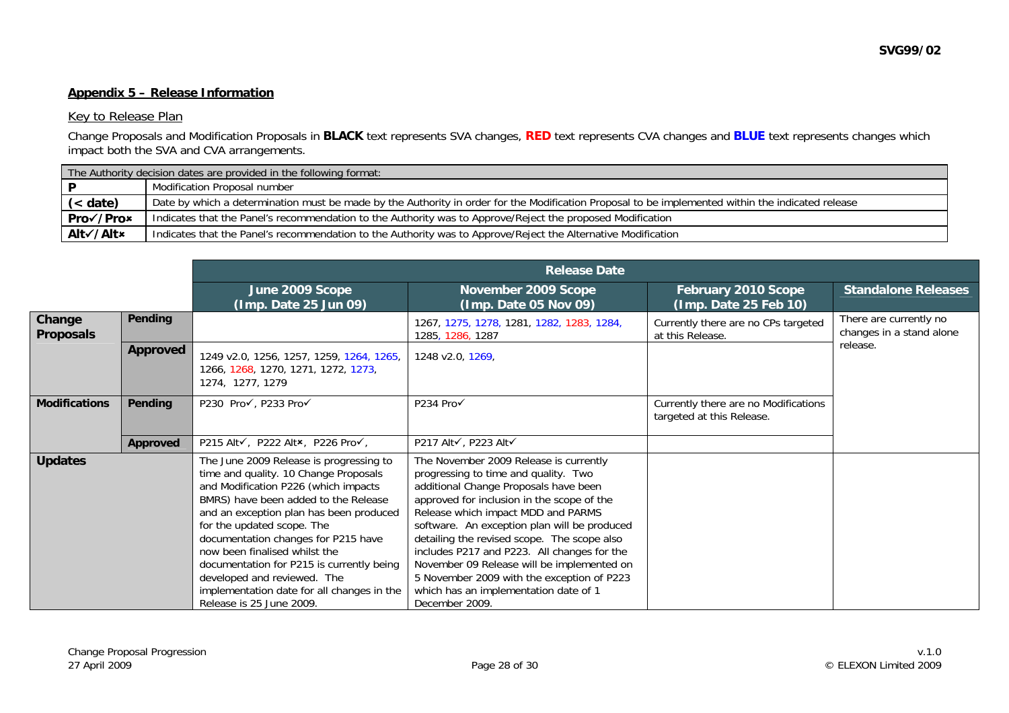#### **Appendix 5 – Release Information**

#### Key to Release Plan

Change Proposals and Modification Proposals in **BLACK** text represents SVA changes, **RED** text represents CVA changes and **BLUE** text represents changes which impact both the SVA and CVA arrangements.

|           | The Authority decision dates are provided in the following format:                                                                                |  |  |  |
|-----------|---------------------------------------------------------------------------------------------------------------------------------------------------|--|--|--|
|           | Modification Proposal number                                                                                                                      |  |  |  |
| (< date)  | Date by which a determination must be made by the Authority in order for the Modification Proposal to be implemented within the indicated release |  |  |  |
| Pro√/Pro× | Indicates that the Panel's recommendation to the Authority was to Approve/Reject the proposed Modification                                        |  |  |  |
| Alt√/Alt× | Indicates that the Panel's recommendation to the Authority was to Approve/Reject the Alternative Modification                                     |  |  |  |

|                            |                 | <b>Release Date</b>                                                                                                                                                                                                                                                                                                                                                                                                                                                     |                                                                                                                                                                                                                                                                                                                                                                                                                                                                                                                  |                                                                   |                                                    |  |  |
|----------------------------|-----------------|-------------------------------------------------------------------------------------------------------------------------------------------------------------------------------------------------------------------------------------------------------------------------------------------------------------------------------------------------------------------------------------------------------------------------------------------------------------------------|------------------------------------------------------------------------------------------------------------------------------------------------------------------------------------------------------------------------------------------------------------------------------------------------------------------------------------------------------------------------------------------------------------------------------------------------------------------------------------------------------------------|-------------------------------------------------------------------|----------------------------------------------------|--|--|
|                            |                 | June 2009 Scope<br>(Imp. Date 25 Jun 09)                                                                                                                                                                                                                                                                                                                                                                                                                                | November 2009 Scope<br>(Imp. Date 05 Nov 09)                                                                                                                                                                                                                                                                                                                                                                                                                                                                     | February 2010 Scope<br>(Imp. Date 25 Feb 10)                      | <b>Standalone Releases</b>                         |  |  |
| Change<br><b>Proposals</b> | Pending         |                                                                                                                                                                                                                                                                                                                                                                                                                                                                         | 1267, 1275, 1278, 1281, 1282, 1283, 1284,<br>1285, 1286, 1287                                                                                                                                                                                                                                                                                                                                                                                                                                                    | Currently there are no CPs targeted<br>at this Release.           | There are currently no<br>changes in a stand alone |  |  |
|                            | <b>Approved</b> | 1249 v2.0, 1256, 1257, 1259, 1264, 1265,<br>1266, 1268, 1270, 1271, 1272, 1273,<br>1274, 1277, 1279                                                                                                                                                                                                                                                                                                                                                                     | 1248 v2.0, 1269,                                                                                                                                                                                                                                                                                                                                                                                                                                                                                                 |                                                                   | release.                                           |  |  |
| <b>Modifications</b>       | Pending         | P230 Pro√, P233 Pro√                                                                                                                                                                                                                                                                                                                                                                                                                                                    | P234 Pro√                                                                                                                                                                                                                                                                                                                                                                                                                                                                                                        | Currently there are no Modifications<br>targeted at this Release. |                                                    |  |  |
|                            | Approved        | P215 Alt√, P222 Alt×, P226 Pro√,                                                                                                                                                                                                                                                                                                                                                                                                                                        | P217 Alt√, P223 Alt√                                                                                                                                                                                                                                                                                                                                                                                                                                                                                             |                                                                   |                                                    |  |  |
| <b>Updates</b>             |                 | The June 2009 Release is progressing to<br>time and quality. 10 Change Proposals<br>and Modification P226 (which impacts<br>BMRS) have been added to the Release<br>and an exception plan has been produced<br>for the updated scope. The<br>documentation changes for P215 have<br>now been finalised whilst the<br>documentation for P215 is currently being<br>developed and reviewed. The<br>implementation date for all changes in the<br>Release is 25 June 2009. | The November 2009 Release is currently<br>progressing to time and quality. Two<br>additional Change Proposals have been<br>approved for inclusion in the scope of the<br>Release which impact MDD and PARMS<br>software. An exception plan will be produced<br>detailing the revised scope. The scope also<br>includes P217 and P223. All changes for the<br>November 09 Release will be implemented on<br>5 November 2009 with the exception of P223<br>which has an implementation date of 1<br>December 2009. |                                                                   |                                                    |  |  |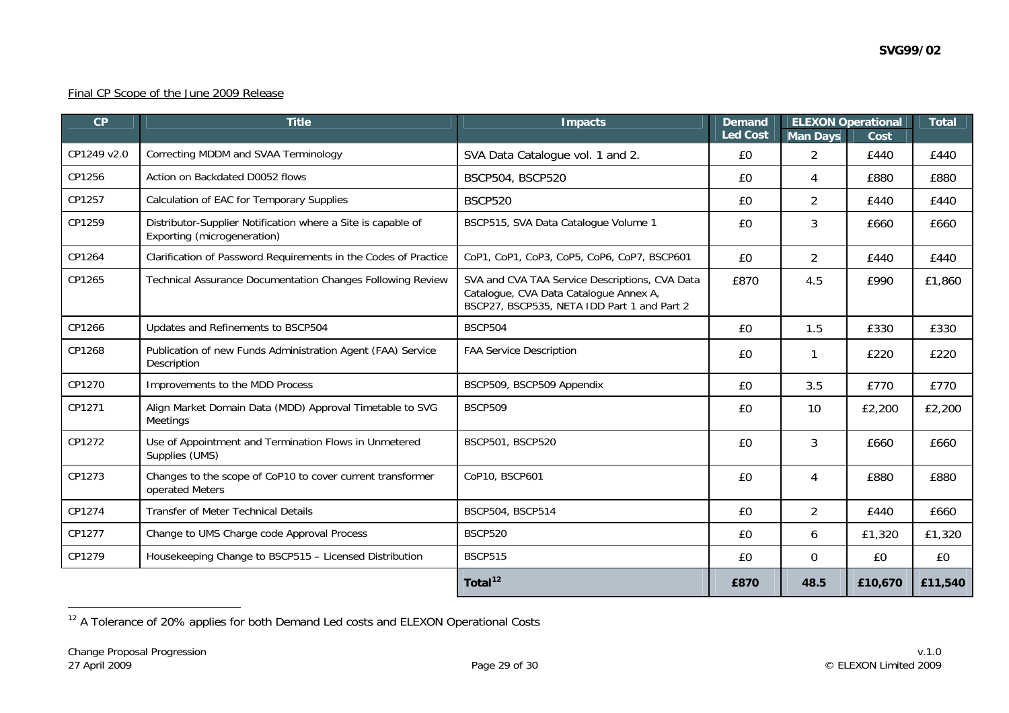### Final CP Scope of the June 2009 Release

| CP          | <b>Title</b>                                                                                | <b>Impacts</b>                                                                                                                          | <b>ELEXON Operational</b><br><b>Demand</b><br><b>Led Cost</b><br><b>Man Days</b><br>Cost |                |         | <b>Total</b> |
|-------------|---------------------------------------------------------------------------------------------|-----------------------------------------------------------------------------------------------------------------------------------------|------------------------------------------------------------------------------------------|----------------|---------|--------------|
| CP1249 v2.0 | Correcting MDDM and SVAA Terminology                                                        | SVA Data Catalogue vol. 1 and 2.                                                                                                        | £0                                                                                       | $\overline{2}$ | £440    | £440         |
| CP1256      | Action on Backdated D0052 flows                                                             | BSCP504, BSCP520                                                                                                                        | £0                                                                                       | 4              | £880    | £880         |
| CP1257      | Calculation of EAC for Temporary Supplies                                                   | <b>BSCP520</b>                                                                                                                          | £0                                                                                       | $\overline{2}$ | £440    | £440         |
| CP1259      | Distributor-Supplier Notification where a Site is capable of<br>Exporting (microgeneration) | BSCP515, SVA Data Catalogue Volume 1<br>3<br>£0                                                                                         |                                                                                          |                |         | £660         |
| CP1264      | Clarification of Password Requirements in the Codes of Practice                             | CoP1, CoP1, CoP3, CoP5, CoP6, CoP7, BSCP601                                                                                             | £0                                                                                       | $\overline{2}$ | £440    | £440         |
| CP1265      | Technical Assurance Documentation Changes Following Review                                  | SVA and CVA TAA Service Descriptions, CVA Data<br>Catalogue, CVA Data Catalogue Annex A,<br>BSCP27, BSCP535, NETA IDD Part 1 and Part 2 | 4.5                                                                                      | £990           | £1,860  |              |
| CP1266      | Updates and Refinements to BSCP504                                                          | <b>BSCP504</b>                                                                                                                          | £0                                                                                       | 1.5            | £330    | £330         |
| CP1268      | Publication of new Funds Administration Agent (FAA) Service<br>Description                  | <b>FAA Service Description</b>                                                                                                          |                                                                                          | 1              | £220    | £220         |
| CP1270      | Improvements to the MDD Process                                                             | BSCP509, BSCP509 Appendix                                                                                                               | 3.5<br>£0<br>£770                                                                        |                | £770    |              |
| CP1271      | Align Market Domain Data (MDD) Approval Timetable to SVG<br><b>Meetings</b>                 | <b>BSCP509</b>                                                                                                                          | 10<br>£0                                                                                 |                | £2,200  | £2,200       |
| CP1272      | Use of Appointment and Termination Flows in Unmetered<br>Supplies (UMS)                     | BSCP501, BSCP520                                                                                                                        | 3<br>£0                                                                                  |                | £660    | £660         |
| CP1273      | Changes to the scope of CoP10 to cover current transformer<br>operated Meters               | CoP10, BSCP601<br>£0                                                                                                                    |                                                                                          | 4              | £880    | £880         |
| CP1274      | <b>Transfer of Meter Technical Details</b>                                                  | BSCP504, BSCP514<br>$\overline{2}$<br>£0                                                                                                |                                                                                          | £440           | £660    |              |
| CP1277      | Change to UMS Charge code Approval Process                                                  | <b>BSCP520</b>                                                                                                                          | £0                                                                                       | £1,320<br>6    |         | £1,320       |
| CP1279      | Housekeeping Change to BSCP515 - Licensed Distribution                                      | <b>BSCP515</b>                                                                                                                          | £0                                                                                       | 0              | £0      | £0           |
|             |                                                                                             | Total $12$                                                                                                                              | £870                                                                                     | 48.5           | £10,670 | £11,540      |

<span id="page-28-0"></span><sup>&</sup>lt;sup>12</sup> A Tolerance of 20% applies for both Demand Led costs and ELEXON Operational Costs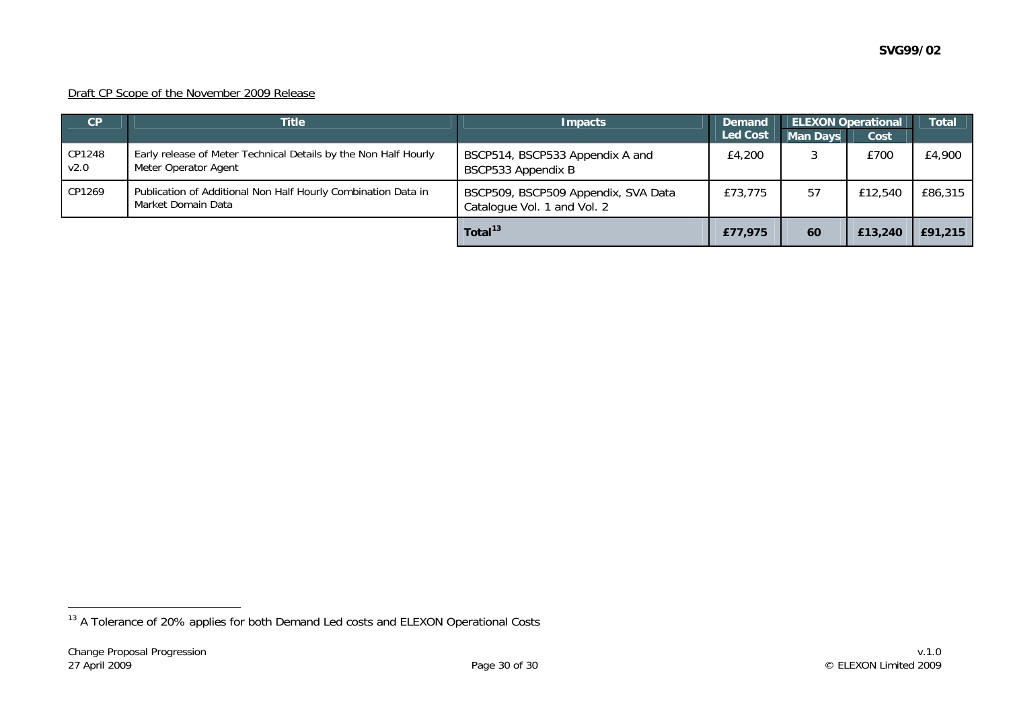### Draft CP Scope of the November 2009 Release

| CP             | <b>Title</b>                                                                            | <b>Impacts</b>                                                     | <b>Demand</b>   |                 | <b>ELEXON Operational</b> | <b>Total</b> |
|----------------|-----------------------------------------------------------------------------------------|--------------------------------------------------------------------|-----------------|-----------------|---------------------------|--------------|
|                |                                                                                         |                                                                    | <b>Led Cost</b> | <b>Man Days</b> | Cost                      |              |
| CP1248<br>V2.0 | Early release of Meter Technical Details by the Non Half Hourly<br>Meter Operator Agent | BSCP514, BSCP533 Appendix A and<br>BSCP533 Appendix B              | £4,200          |                 | £700                      | £4,900       |
| CP1269         | Publication of Additional Non Half Hourly Combination Data in<br>Market Domain Data     | BSCP509, BSCP509 Appendix, SVA Data<br>Catalogue Vol. 1 and Vol. 2 | £73,775         | 57              | £12,540                   | £86,315      |
|                |                                                                                         | Total <sup>13</sup>                                                | £77,975         | 60              | £13,240                   | £91,215      |

<span id="page-29-0"></span><sup>&</sup>lt;sup>13</sup> A Tolerance of 20% applies for both Demand Led costs and ELEXON Operational Costs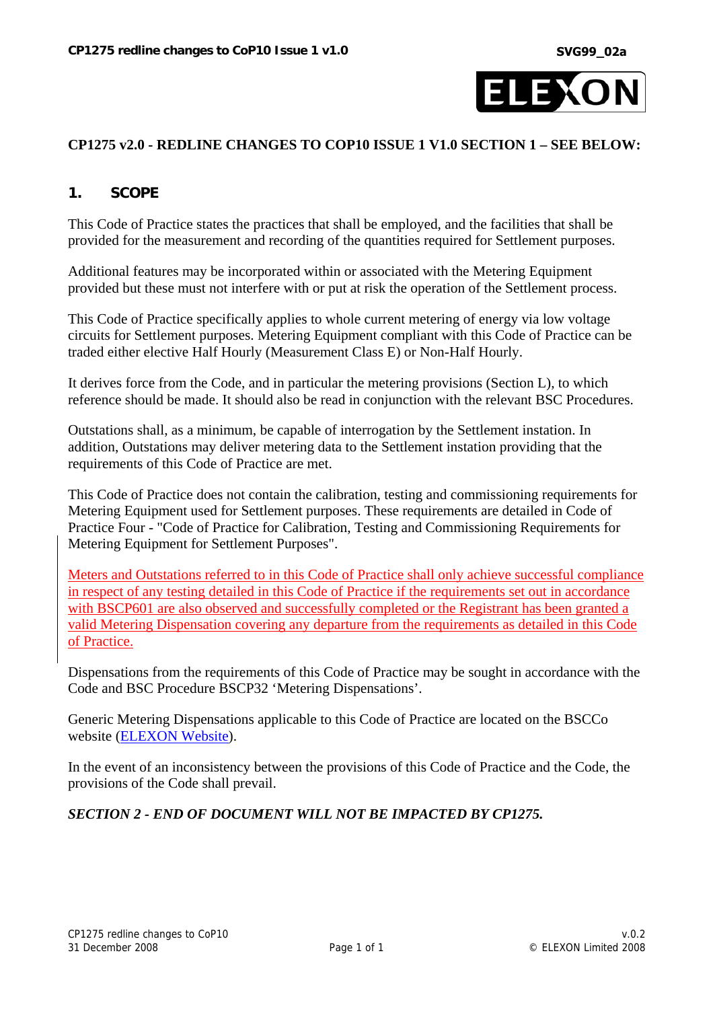

### **CP1275 v2.0 - REDLINE CHANGES TO COP10 ISSUE 1 V1.0 SECTION 1 – SEE BELOW:**

## **1. SCOPE**

This Code of Practice states the practices that shall be employed, and the facilities that shall be provided for the measurement and recording of the quantities required for Settlement purposes.

Additional features may be incorporated within or associated with the Metering Equipment provided but these must not interfere with or put at risk the operation of the Settlement process.

This Code of Practice specifically applies to whole current metering of energy via low voltage circuits for Settlement purposes. Metering Equipment compliant with this Code of Practice can be traded either elective Half Hourly (Measurement Class E) or Non-Half Hourly.

It derives force from the Code, and in particular the metering provisions (Section L), to which reference should be made. It should also be read in conjunction with the relevant BSC Procedures.

Outstations shall, as a minimum, be capable of interrogation by the Settlement instation. In addition, Outstations may deliver metering data to the Settlement instation providing that the requirements of this Code of Practice are met.

This Code of Practice does not contain the calibration, testing and commissioning requirements for Metering Equipment used for Settlement purposes. These requirements are detailed in Code of Practice Four - "Code of Practice for Calibration, Testing and Commissioning Requirements for Metering Equipment for Settlement Purposes".

Meters and Outstations referred to in this Code of Practice shall only achieve successful compliance in respect of any testing detailed in this Code of Practice if the requirements set out in accordance with BSCP601 are also observed and successfully completed or the Registrant has been granted a valid Metering Dispensation covering any departure from the requirements as detailed in this Code of Practice.

Dispensations from the requirements of this Code of Practice may be sought in accordance with the Code and BSC Procedure BSCP32 'Metering Dispensations'.

Generic Metering Dispensations applicable to this Code of Practice are located on the BSCCo website [\(ELEXON Website\)](http://www.elexon.co.uk/marketdata/staticdata/meter/).

In the event of an inconsistency between the provisions of this Code of Practice and the Code, the provisions of the Code shall prevail.

## *SECTION 2 - END OF DOCUMENT WILL NOT BE IMPACTED BY CP1275.*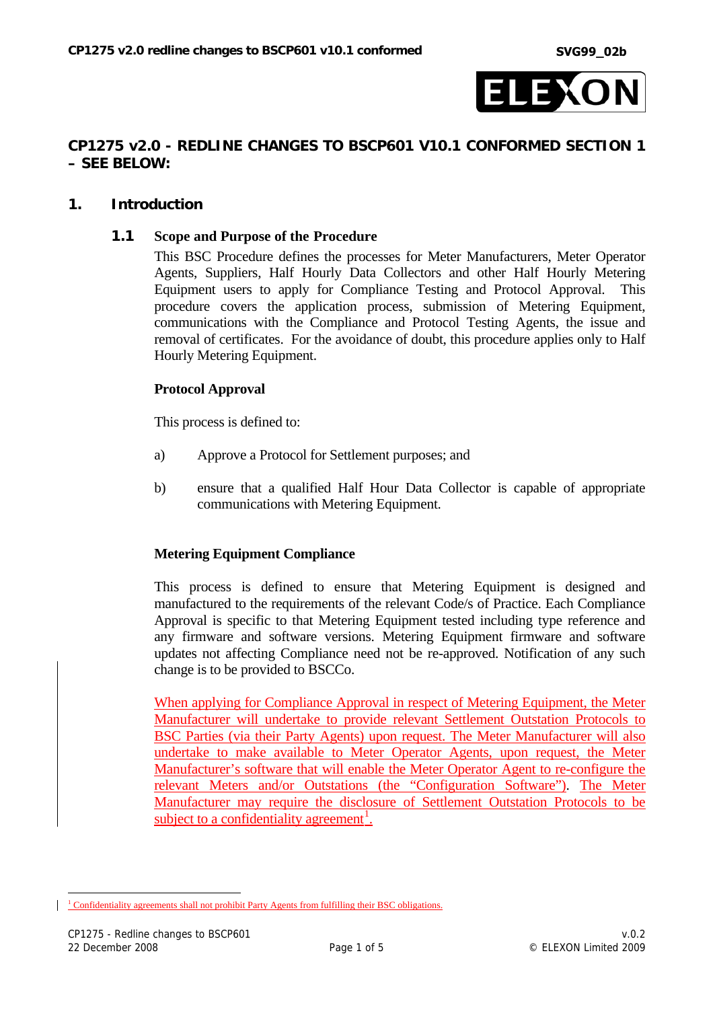

### **CP1275 v2.0 - REDLINE CHANGES TO BSCP601 V10.1 CONFORMED SECTION 1 – SEE BELOW:**

### **1. Introduction**

#### **1.1 Scope and Purpose of the Procedure**

This BSC Procedure defines the processes for Meter Manufacturers, Meter Operator Agents, Suppliers, Half Hourly Data Collectors and other Half Hourly Metering Equipment users to apply for Compliance Testing and Protocol Approval. This procedure covers the application process, submission of Metering Equipment, communications with the Compliance and Protocol Testing Agents, the issue and removal of certificates. For the avoidance of doubt, this procedure applies only to Half Hourly Metering Equipment.

### **Protocol Approval**

This process is defined to:

- a) Approve a Protocol for Settlement purposes; and
- b) ensure that a qualified Half Hour Data Collector is capable of appropriate communications with Metering Equipment.

### **Metering Equipment Compliance**

This process is defined to ensure that Metering Equipment is designed and manufactured to the requirements of the relevant Code/s of Practice. Each Compliance Approval is specific to that Metering Equipment tested including type reference and any firmware and software versions. Metering Equipment firmware and software updates not affecting Compliance need not be re-approved. Notification of any such change is to be provided to BSCCo.

When applying for Compliance Approval in respect of Metering Equipment, the Meter Manufacturer will undertake to provide relevant Settlement Outstation Protocols to BSC Parties (via their Party Agents) upon request. The Meter Manufacturer will also undertake to make available to Meter Operator Agents, upon request, the Meter Manufacturer's software that will enable the Meter Operator Agent to re-configure the relevant Meters and/or Outstations (the "Configuration Software"). The Meter Manufacturer may require the disclosure of Settlement Outstation Protocols to be subject to a confidentiality agreement<sup>[1](#page-31-0)</sup>.

<span id="page-31-0"></span> $\overline{a}$ <sup>1</sup> Confidentiality agreements shall not prohibit Party Agents from fulfilling their BSC obligations.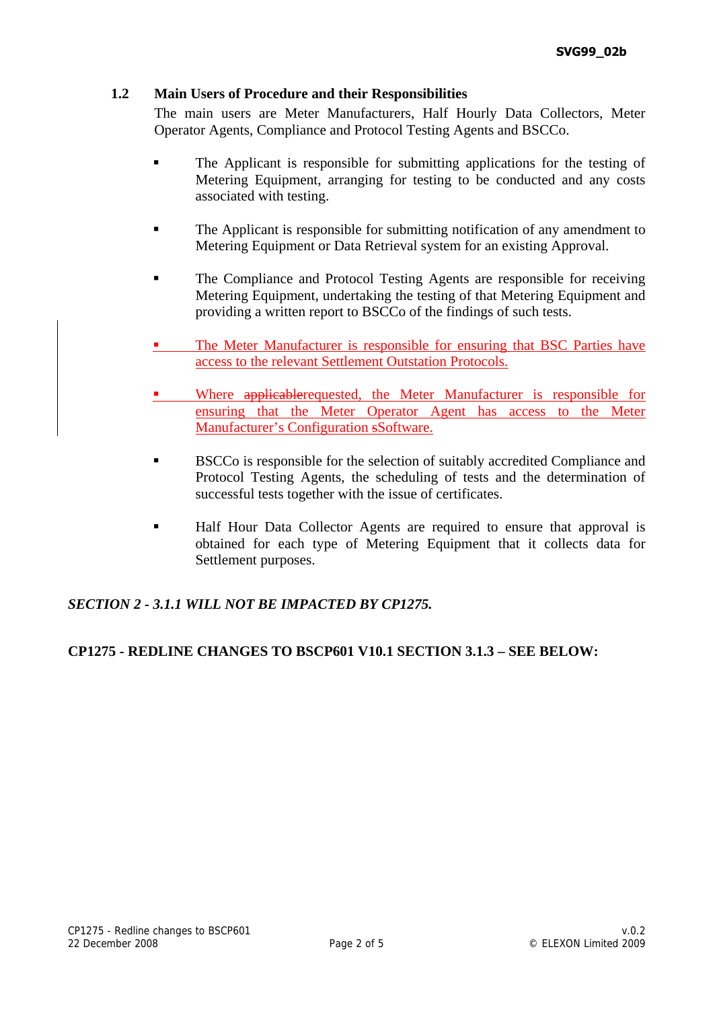## **1.2 Main Users of Procedure and their Responsibilities**

The main users are Meter Manufacturers, Half Hourly Data Collectors, Meter Operator Agents, Compliance and Protocol Testing Agents and BSCCo.

- The Applicant is responsible for submitting applications for the testing of Metering Equipment, arranging for testing to be conducted and any costs associated with testing.
- The Applicant is responsible for submitting notification of any amendment to Metering Equipment or Data Retrieval system for an existing Approval.
- **The Compliance and Protocol Testing Agents are responsible for receiving** Metering Equipment, undertaking the testing of that Metering Equipment and providing a written report to BSCCo of the findings of such tests.
- The Meter Manufacturer is responsible for ensuring that BSC Parties have access to the relevant Settlement Outstation Protocols.
- Where applicablerequested, the Meter Manufacturer is responsible for ensuring that the Meter Operator Agent has access to the Meter Manufacturer's Configuration sSoftware.
- BSCCo is responsible for the selection of suitably accredited Compliance and Protocol Testing Agents, the scheduling of tests and the determination of successful tests together with the issue of certificates.
- Half Hour Data Collector Agents are required to ensure that approval is obtained for each type of Metering Equipment that it collects data for Settlement purposes.

## *SECTION 2 - 3.1.1 WILL NOT BE IMPACTED BY CP1275.*

## **CP1275 - REDLINE CHANGES TO BSCP601 V10.1 SECTION 3.1.3 – SEE BELOW:**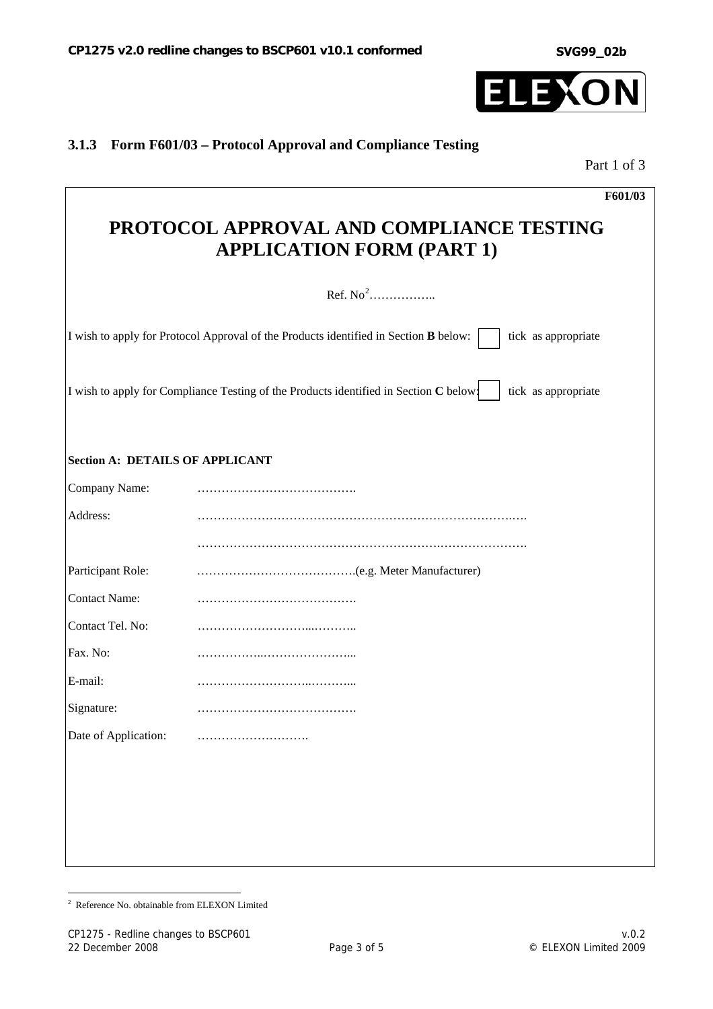**SVG99\_02b**



# **3.1.3 Form F601/03 – Protocol Approval and Compliance Testing**

Part 1 of 3

|                                        | F601/03                                                                                                      |
|----------------------------------------|--------------------------------------------------------------------------------------------------------------|
|                                        | PROTOCOL APPROVAL AND COMPLIANCE TESTING<br><b>APPLICATION FORM (PART 1)</b>                                 |
|                                        | Ref. $No2$                                                                                                   |
|                                        | I wish to apply for Protocol Approval of the Products identified in Section B below:<br>tick as appropriate  |
|                                        | I wish to apply for Compliance Testing of the Products identified in Section C below:<br>tick as appropriate |
| <b>Section A: DETAILS OF APPLICANT</b> |                                                                                                              |
| Company Name:                          |                                                                                                              |
| Address:                               |                                                                                                              |
|                                        |                                                                                                              |
| Participant Role:                      |                                                                                                              |
| <b>Contact Name:</b>                   |                                                                                                              |
| Contact Tel. No:                       |                                                                                                              |
| Fax. No:                               |                                                                                                              |
| E-mail:                                |                                                                                                              |
| Signature:                             |                                                                                                              |
| Date of Application:                   |                                                                                                              |
|                                        |                                                                                                              |
|                                        |                                                                                                              |
|                                        |                                                                                                              |
|                                        |                                                                                                              |
|                                        |                                                                                                              |

<span id="page-33-0"></span> 2 Reference No. obtainable from ELEXON Limited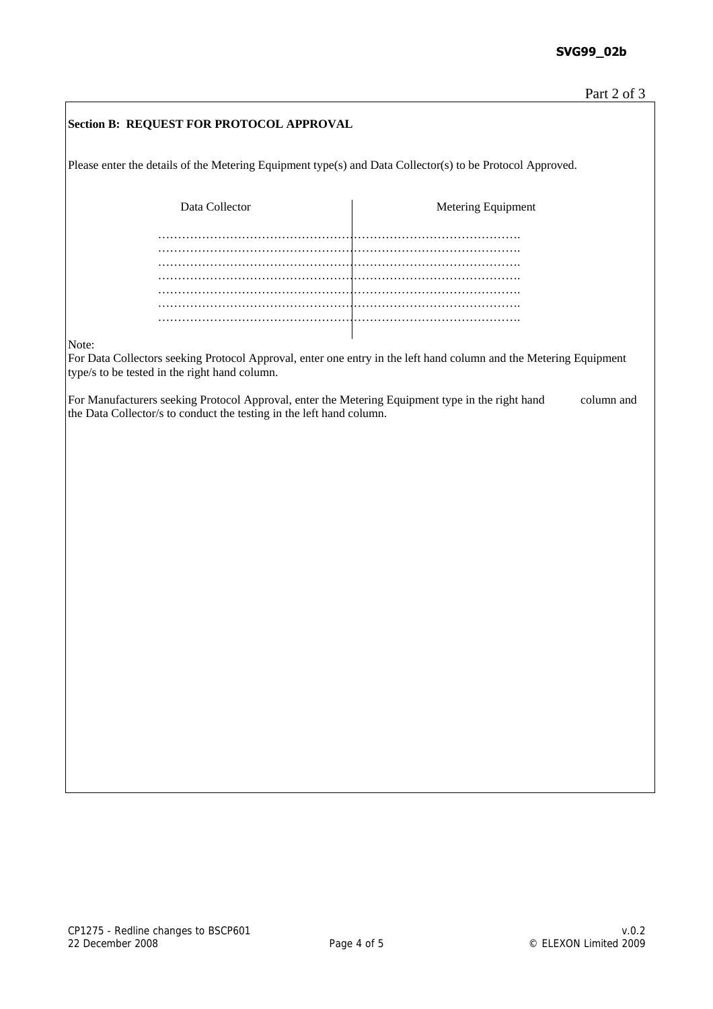| Section B: REQUEST FOR PROTOCOL APPROVAL                                                                                                                                    |                    |            |  |  |  |
|-----------------------------------------------------------------------------------------------------------------------------------------------------------------------------|--------------------|------------|--|--|--|
| Please enter the details of the Metering Equipment type(s) and Data Collector(s) to be Protocol Approved.                                                                   |                    |            |  |  |  |
| Data Collector                                                                                                                                                              | Metering Equipment |            |  |  |  |
|                                                                                                                                                                             |                    |            |  |  |  |
|                                                                                                                                                                             |                    |            |  |  |  |
|                                                                                                                                                                             |                    |            |  |  |  |
|                                                                                                                                                                             |                    |            |  |  |  |
| Note:<br>For Data Collectors seeking Protocol Approval, enter one entry in the left hand column and the Metering Equipment<br>type/s to be tested in the right hand column. |                    |            |  |  |  |
| For Manufacturers seeking Protocol Approval, enter the Metering Equipment type in the right hand<br>the Data Collector/s to conduct the testing in the left hand column.    |                    | column and |  |  |  |
|                                                                                                                                                                             |                    |            |  |  |  |
|                                                                                                                                                                             |                    |            |  |  |  |
|                                                                                                                                                                             |                    |            |  |  |  |
|                                                                                                                                                                             |                    |            |  |  |  |
|                                                                                                                                                                             |                    |            |  |  |  |
|                                                                                                                                                                             |                    |            |  |  |  |
|                                                                                                                                                                             |                    |            |  |  |  |
|                                                                                                                                                                             |                    |            |  |  |  |
|                                                                                                                                                                             |                    |            |  |  |  |
|                                                                                                                                                                             |                    |            |  |  |  |
|                                                                                                                                                                             |                    |            |  |  |  |
|                                                                                                                                                                             |                    |            |  |  |  |
|                                                                                                                                                                             |                    |            |  |  |  |
|                                                                                                                                                                             |                    |            |  |  |  |
|                                                                                                                                                                             |                    |            |  |  |  |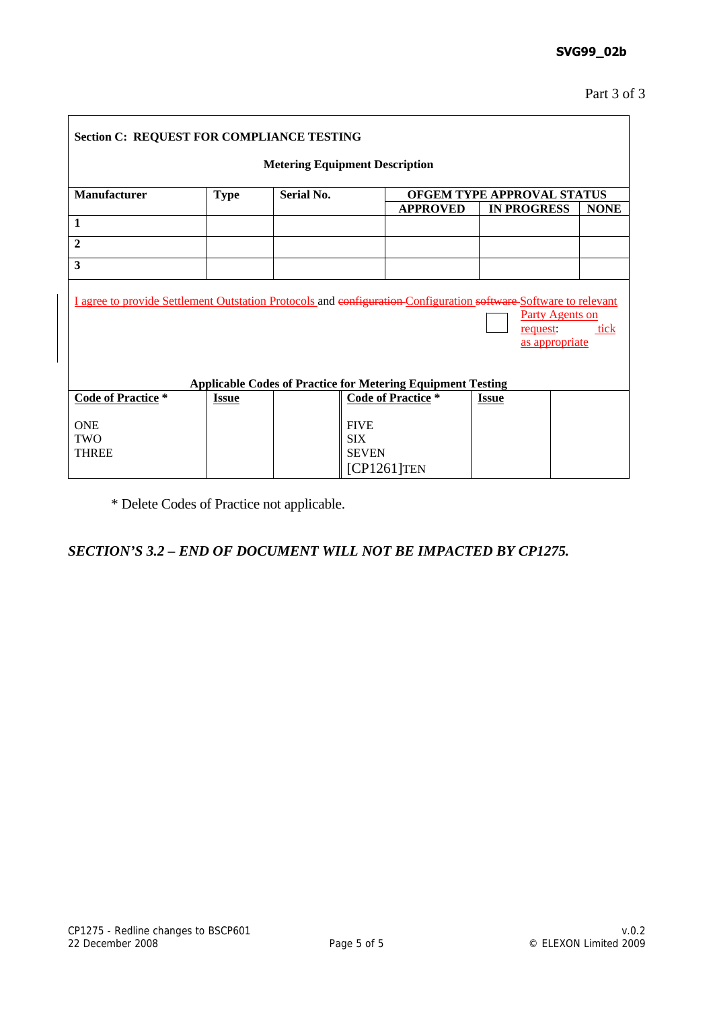| <b>Section C: REQUEST FOR COMPLIANCE TESTING</b>                                                                                                                                                                                                |              |                   |                                                             |                            |             |  |  |
|-------------------------------------------------------------------------------------------------------------------------------------------------------------------------------------------------------------------------------------------------|--------------|-------------------|-------------------------------------------------------------|----------------------------|-------------|--|--|
| <b>Metering Equipment Description</b>                                                                                                                                                                                                           |              |                   |                                                             |                            |             |  |  |
| Manufacturer                                                                                                                                                                                                                                    | <b>Type</b>  | <b>Serial No.</b> |                                                             | OFGEM TYPE APPROVAL STATUS |             |  |  |
|                                                                                                                                                                                                                                                 |              |                   | <b>APPROVED</b>                                             | <b>IN PROGRESS</b>         | <b>NONE</b> |  |  |
| $\mathbf 1$                                                                                                                                                                                                                                     |              |                   |                                                             |                            |             |  |  |
| $\overline{2}$                                                                                                                                                                                                                                  |              |                   |                                                             |                            |             |  |  |
| 3                                                                                                                                                                                                                                               |              |                   |                                                             |                            |             |  |  |
| I agree to provide Settlement Outstation Protocols and configuration-Configuration software Software to relevant<br>Party Agents on<br>tick<br>request:<br>as appropriate<br><b>Applicable Codes of Practice for Metering Equipment Testing</b> |              |                   |                                                             |                            |             |  |  |
| <b>Code of Practice</b> *                                                                                                                                                                                                                       | <b>Issue</b> |                   | <b>Code of Practice</b> *                                   | <b>Issue</b>               |             |  |  |
| <b>ONE</b><br><b>TWO</b><br><b>THREE</b>                                                                                                                                                                                                        |              |                   | <b>FIVE</b><br><b>SIX</b><br><b>SEVEN</b><br>$[CP1261]$ TEN |                            |             |  |  |

\* Delete Codes of Practice not applicable.

# *SECTION'S 3.2 – END OF DOCUMENT WILL NOT BE IMPACTED BY CP1275.*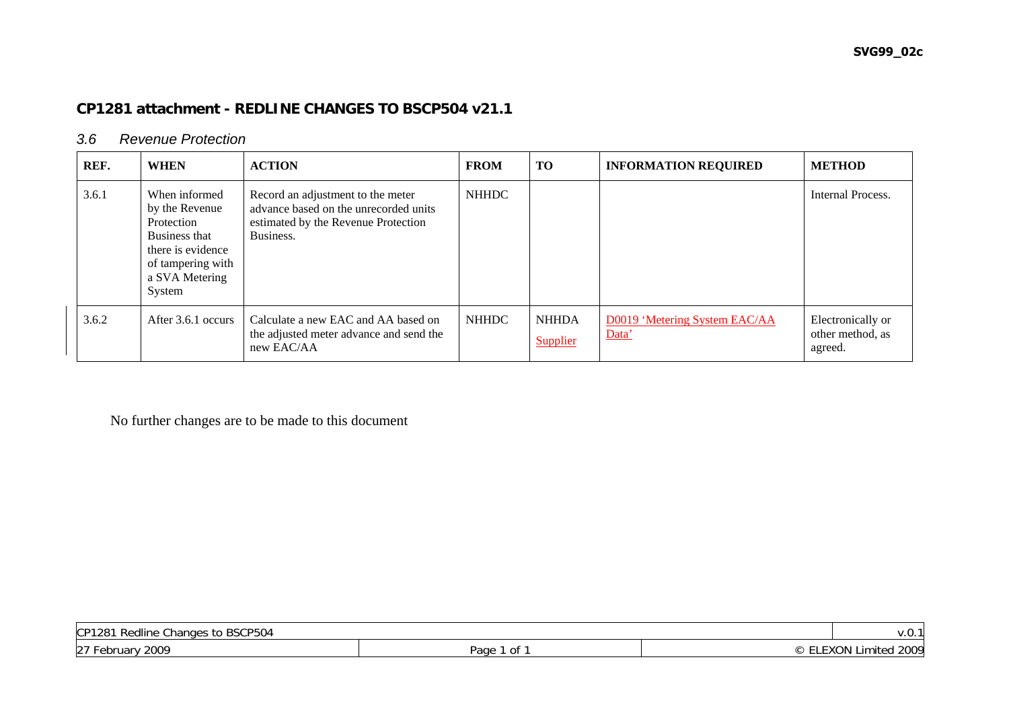# **CP1281 attachment - REDLINE CHANGES TO BSCP504 v21.1**

#### *3.6 Revenue Protection*

| REF.  | <b>WHEN</b>                                                                                                                          | <b>ACTION</b>                                                                                                                  | <b>FROM</b>  | <b>TO</b>                | <b>INFORMATION REQUIRED</b>            | <b>METHOD</b>                                    |
|-------|--------------------------------------------------------------------------------------------------------------------------------------|--------------------------------------------------------------------------------------------------------------------------------|--------------|--------------------------|----------------------------------------|--------------------------------------------------|
| 3.6.1 | When informed<br>by the Revenue<br>Protection<br>Business that<br>there is evidence<br>of tampering with<br>a SVA Metering<br>System | Record an adjustment to the meter<br>advance based on the unrecorded units<br>estimated by the Revenue Protection<br>Business. | <b>NHHDC</b> |                          |                                        | Internal Process.                                |
| 3.6.2 | After 3.6.1 occurs                                                                                                                   | Calculate a new EAC and AA based on<br>the adjusted meter advance and send the<br>new EAC/AA                                   | <b>NHHDC</b> | <b>NHHDA</b><br>Supplier | D0019 'Metering System EAC/AA<br>Data' | Electronically or<br>other method, as<br>agreed. |

No further changes are to be made to this document

| to BSCP504<br>CP1281<br>Redline Changes     |                    |  |                              |  |  |
|---------------------------------------------|--------------------|--|------------------------------|--|--|
| 27 F<br>2009<br>$. F^{\alpha}$<br>ud<br>ັບພ | Page<br>∽+<br>- 91 |  | ാററ<br>.<br>Limited<br>ZUU 7 |  |  |